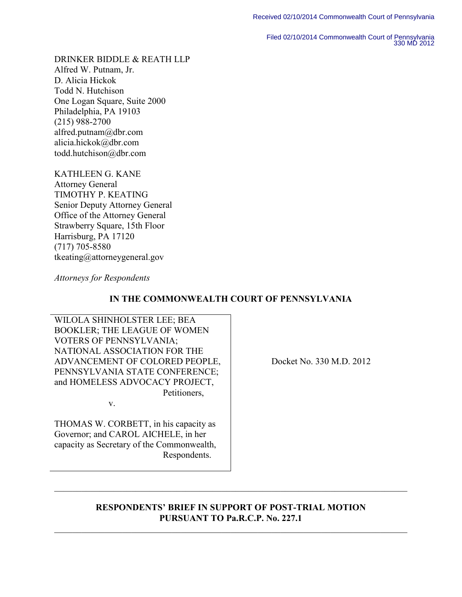Filed 02/10/2014 Commonwealth Court of Pennsylvania 330 MD 2012

DRINKER BIDDLE & REATH LLP Alfred W. Putnam, Jr. D. Alicia Hickok Todd N. Hutchison One Logan Square, Suite 2000 Philadelphia, PA 19103 (215) 988-2700 alfred.putnam@dbr.com alicia.hickok@dbr.com todd.hutchison@dbr.com

KATHLEEN G. KANE Attorney General TIMOTHY P. KEATING Senior Deputy Attorney General Office of the Attorney General Strawberry Square, 15th Floor Harrisburg, PA 17120 (717) 705-8580 tkeating@attorneygeneral.gov

*Attorneys for Respondents* 

## **IN THE COMMONWEALTH COURT OF PENNSYLVANIA**

WILOLA SHINHOLSTER LEE; BEA BOOKLER; THE LEAGUE OF WOMEN VOTERS OF PENNSYLVANIA; NATIONAL ASSOCIATION FOR THE ADVANCEMENT OF COLORED PEOPLE, PENNSYLVANIA STATE CONFERENCE; and HOMELESS ADVOCACY PROJECT, Petitioners,

v.

THOMAS W. CORBETT, in his capacity as Governor; and CAROL AICHELE, in her capacity as Secretary of the Commonwealth, Respondents.

Docket No. 330 M.D. 2012

## **RESPONDENTS' BRIEF IN SUPPORT OF POST-TRIAL MOTION PURSUANT TO Pa.R.C.P. No. 227.1**  $\_$  , and the set of the set of the set of the set of the set of the set of the set of the set of the set of the set of the set of the set of the set of the set of the set of the set of the set of the set of the set of th

\_\_\_\_\_\_\_\_\_\_\_\_\_\_\_\_\_\_\_\_\_\_\_\_\_\_\_\_\_\_\_\_\_\_\_\_\_\_\_\_\_\_\_\_\_\_\_\_\_\_\_\_\_\_\_\_\_\_\_\_\_\_\_\_\_\_\_\_\_\_\_\_\_\_\_\_\_\_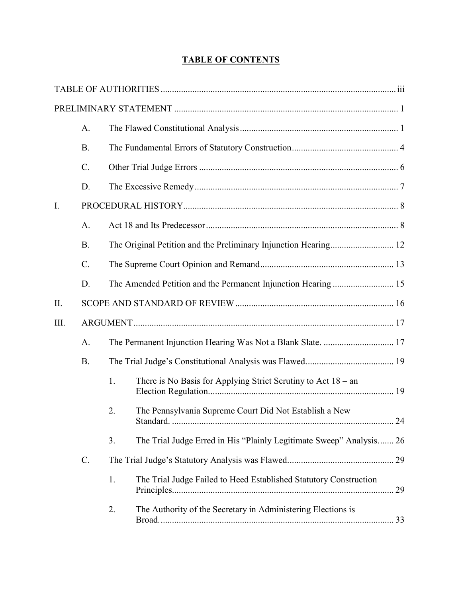# **TABLE OF CONTENTS**

|             | A.              |    |                                                                     |    |
|-------------|-----------------|----|---------------------------------------------------------------------|----|
|             | <b>B.</b>       |    |                                                                     |    |
|             | $C$ .           |    |                                                                     |    |
|             | D.              |    |                                                                     |    |
| $I_{\cdot}$ |                 |    |                                                                     |    |
|             | A.              |    |                                                                     |    |
|             | <b>B.</b>       |    |                                                                     |    |
|             | $\mathcal{C}$ . |    |                                                                     |    |
|             | D.              |    |                                                                     |    |
| II.         |                 |    |                                                                     |    |
| III.        |                 |    |                                                                     |    |
|             | A.              |    |                                                                     |    |
|             | <b>B.</b>       |    |                                                                     |    |
|             |                 | 1. | There is No Basis for Applying Strict Scrutiny to Act $18 - an$     |    |
|             |                 | 2. | The Pennsylvania Supreme Court Did Not Establish a New              | 24 |
|             |                 | 3. | The Trial Judge Erred in His "Plainly Legitimate Sweep" Analysis 26 |    |
|             | $\mathcal{C}$ . |    |                                                                     |    |
|             |                 | 1. | The Trial Judge Failed to Heed Established Statutory Construction   | 29 |
|             |                 | 2. | The Authority of the Secretary in Administering Elections is        |    |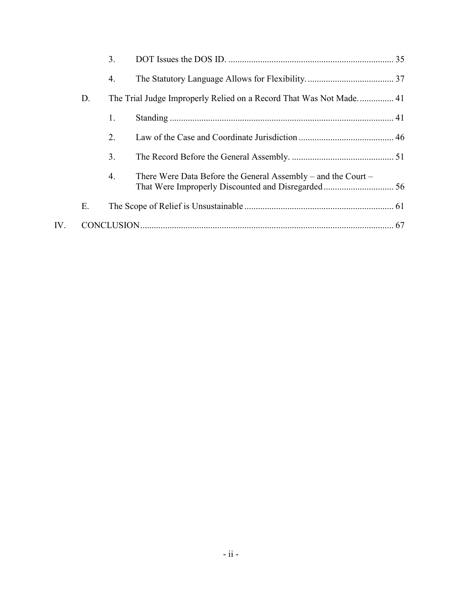|     |    | 3.             |                                                               |  |
|-----|----|----------------|---------------------------------------------------------------|--|
|     |    | 4.             |                                                               |  |
|     | D. |                |                                                               |  |
|     |    | 1.             |                                                               |  |
|     |    | 2.             |                                                               |  |
|     |    | 3 <sub>1</sub> |                                                               |  |
|     |    | 4.             | There Were Data Before the General Assembly – and the Court – |  |
|     | Е. |                |                                                               |  |
| IV. |    |                |                                                               |  |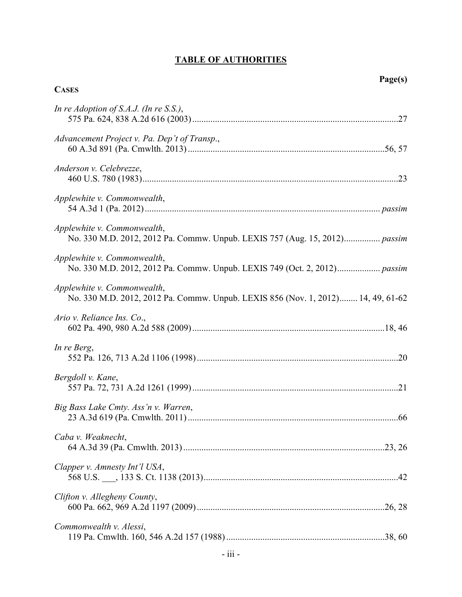# **TABLE OF AUTHORITIES**

**CASES**

| In re Adoption of S.A.J. (In re S.S.),                                                                          |
|-----------------------------------------------------------------------------------------------------------------|
| Advancement Project v. Pa. Dep't of Transp.,                                                                    |
| Anderson v. Celebrezze,                                                                                         |
| Applewhite v. Commonwealth,                                                                                     |
| Applewhite v. Commonwealth,<br>No. 330 M.D. 2012, 2012 Pa. Commw. Unpub. LEXIS 757 (Aug. 15, 2012) passim       |
| Applewhite v. Commonwealth,                                                                                     |
| Applewhite v. Commonwealth,<br>No. 330 M.D. 2012, 2012 Pa. Commw. Unpub. LEXIS 856 (Nov. 1, 2012) 14, 49, 61-62 |
| Ario v. Reliance Ins. Co.,                                                                                      |
| In re Berg,                                                                                                     |
| Bergdoll v. Kane,                                                                                               |
| Big Bass Lake Cmty. Ass'n v. Warren,                                                                            |
| Caba v. Weaknecht,                                                                                              |
| Clapper v. Amnesty Int'l USA,                                                                                   |
| Clifton v. Allegheny County,                                                                                    |
| Commonwealth v. Alessi,                                                                                         |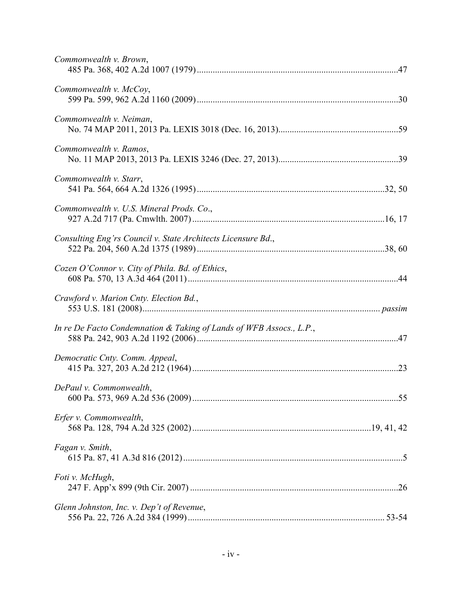| Commonwealth v. Brown,                                              |  |
|---------------------------------------------------------------------|--|
| Commonwealth v. McCoy,                                              |  |
| Commonwealth v. Neiman,                                             |  |
| Commonwealth v. Ramos,                                              |  |
| Commonwealth v. Starr,                                              |  |
| Commonwealth v. U.S. Mineral Prods. Co.,                            |  |
| Consulting Eng'rs Council v. State Architects Licensure Bd.,        |  |
| Cozen O'Connor v. City of Phila. Bd. of Ethics,                     |  |
| Crawford v. Marion Cnty. Election Bd.,                              |  |
| In re De Facto Condemnation & Taking of Lands of WFB Assocs., L.P., |  |
| Democratic Cnty. Comm. Appeal,                                      |  |
| DePaul v. Commonwealth,                                             |  |
| Erfer v. Commonwealth,                                              |  |
| Fagan v. Smith,                                                     |  |
| Foti v. McHugh,                                                     |  |
| Glenn Johnston, Inc. v. Dep't of Revenue,                           |  |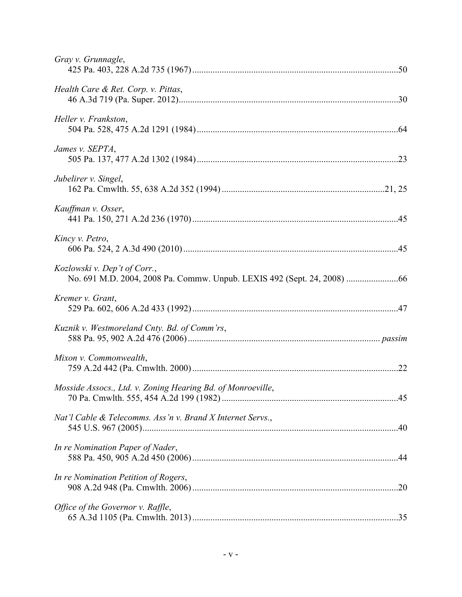| Gray v. Grunnagle,                                          |  |
|-------------------------------------------------------------|--|
| Health Care & Ret. Corp. v. Pittas,                         |  |
| Heller v. Frankston,                                        |  |
| James v. SEPTA,                                             |  |
| Jubelirer v. Singel,                                        |  |
| Kauffman v. Osser,                                          |  |
| Kincy v. Petro,                                             |  |
| Kozlowski v. Dep't of Corr.,                                |  |
| Kremer v. Grant,                                            |  |
| Kuznik v. Westmoreland Cnty. Bd. of Comm'rs,                |  |
| Mixon v. Commonwealth,                                      |  |
| Mosside Assocs., Ltd. v. Zoning Hearing Bd. of Monroeville, |  |
| Nat'l Cable & Telecomms. Ass'n v. Brand X Internet Servs.,  |  |
| In re Nomination Paper of Nader,                            |  |
| In re Nomination Petition of Rogers,                        |  |
| Office of the Governor v. Raffle,                           |  |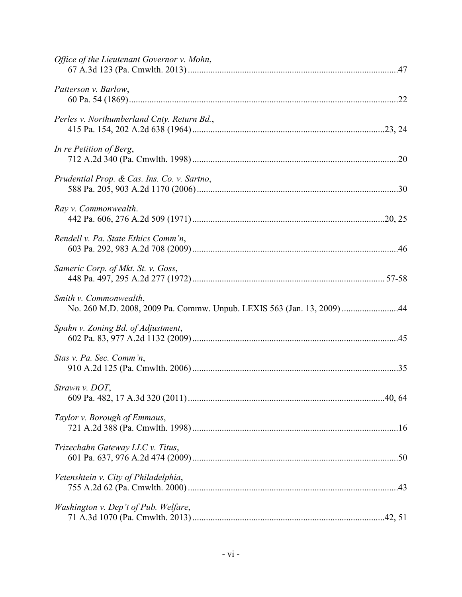| Office of the Lieutenant Governor v. Mohn,                                                       |  |
|--------------------------------------------------------------------------------------------------|--|
| Patterson v. Barlow,                                                                             |  |
| Perles v. Northumberland Cnty. Return Bd.,                                                       |  |
| In re Petition of Berg,                                                                          |  |
| Prudential Prop. & Cas. Ins. Co. v. Sartno,                                                      |  |
| Ray v. Commonwealth.                                                                             |  |
| Rendell v. Pa. State Ethics Comm'n,                                                              |  |
| Sameric Corp. of Mkt. St. v. Goss,                                                               |  |
| Smith v. Commonwealth,<br>No. 260 M.D. 2008, 2009 Pa. Commw. Unpub. LEXIS 563 (Jan. 13, 2009) 44 |  |
| Spahn v. Zoning Bd. of Adjustment,                                                               |  |
| Stas v. Pa. Sec. Comm'n,                                                                         |  |
| Strawn v. DOT,                                                                                   |  |
| Taylor v. Borough of Emmaus,                                                                     |  |
| Trizechahn Gateway LLC v. Titus,                                                                 |  |
| Vetenshtein v. City of Philadelphia,                                                             |  |
| Washington v. Dep't of Pub. Welfare,                                                             |  |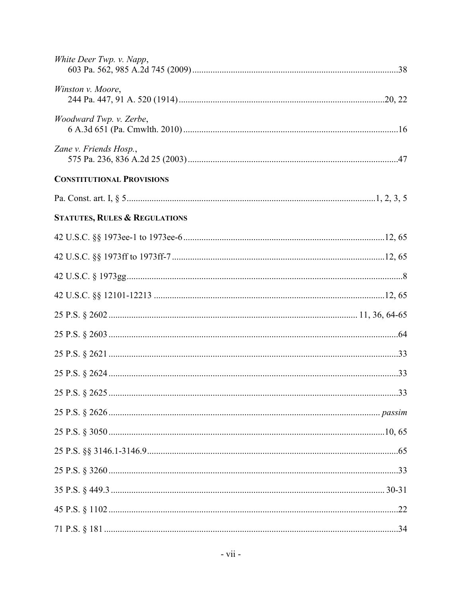| White Deer Twp. v. Napp,                 |  |
|------------------------------------------|--|
| Winston v. Moore,                        |  |
| Woodward Twp. v. Zerbe,                  |  |
| Zane v. Friends Hosp.,                   |  |
| <b>CONSTITUTIONAL PROVISIONS</b>         |  |
|                                          |  |
| <b>STATUTES, RULES &amp; REGULATIONS</b> |  |
|                                          |  |
|                                          |  |
|                                          |  |
|                                          |  |
|                                          |  |
|                                          |  |
|                                          |  |
|                                          |  |
|                                          |  |
|                                          |  |
|                                          |  |
|                                          |  |
|                                          |  |
|                                          |  |
|                                          |  |
|                                          |  |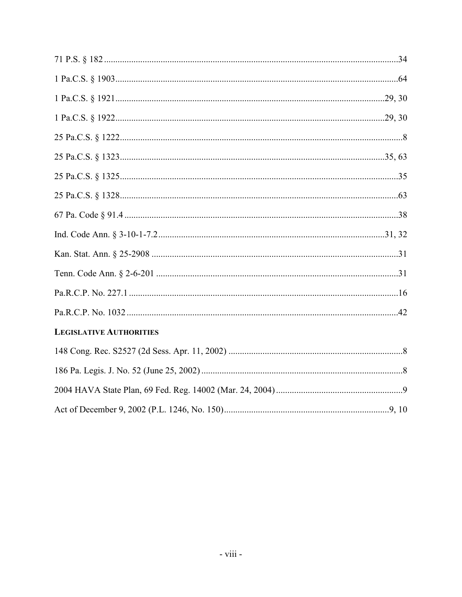| <b>LEGISLATIVE AUTHORITIES</b> |  |
|--------------------------------|--|
|                                |  |
|                                |  |
|                                |  |
|                                |  |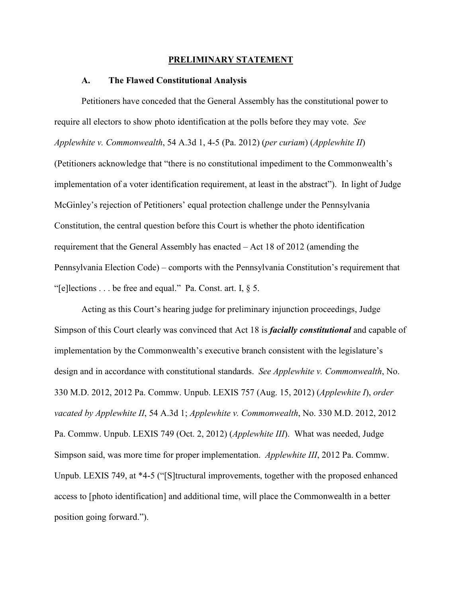#### **PRELIMINARY STATEMENT**

#### **A. The Flawed Constitutional Analysis**

Petitioners have conceded that the General Assembly has the constitutional power to require all electors to show photo identification at the polls before they may vote. *See Applewhite v. Commonwealth*, 54 A.3d 1, 4-5 (Pa. 2012) (*per curiam*) (*Applewhite II*) (Petitioners acknowledge that "there is no constitutional impediment to the Commonwealth's implementation of a voter identification requirement, at least in the abstract"). In light of Judge McGinley's rejection of Petitioners' equal protection challenge under the Pennsylvania Constitution, the central question before this Court is whether the photo identification requirement that the General Assembly has enacted – Act 18 of 2012 (amending the Pennsylvania Election Code) – comports with the Pennsylvania Constitution's requirement that "[e]lections . . . be free and equal." Pa. Const. art. I,  $\S$  5.

Acting as this Court's hearing judge for preliminary injunction proceedings, Judge Simpson of this Court clearly was convinced that Act 18 is *facially constitutional* and capable of implementation by the Commonwealth's executive branch consistent with the legislature's design and in accordance with constitutional standards. *See Applewhite v. Commonwealth*, No. 330 M.D. 2012, 2012 Pa. Commw. Unpub. LEXIS 757 (Aug. 15, 2012) (*Applewhite I*), *order vacated by Applewhite II*, 54 A.3d 1; *Applewhite v. Commonwealth*, No. 330 M.D. 2012, 2012 Pa. Commw. Unpub. LEXIS 749 (Oct. 2, 2012) (*Applewhite III*). What was needed, Judge Simpson said, was more time for proper implementation. *Applewhite III*, 2012 Pa. Commw. Unpub. LEXIS 749, at \*4-5 ("[S]tructural improvements, together with the proposed enhanced access to [photo identification] and additional time, will place the Commonwealth in a better position going forward.").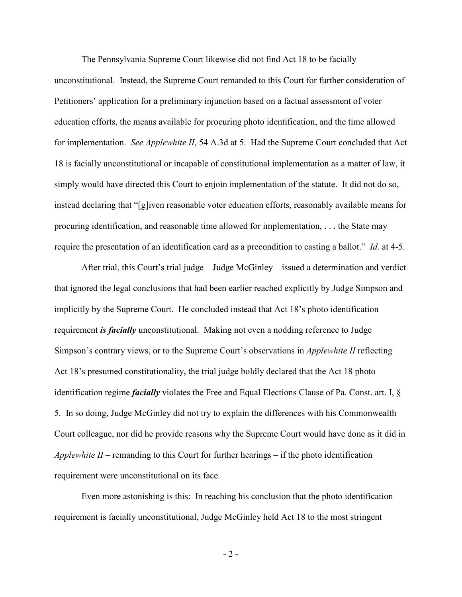The Pennsylvania Supreme Court likewise did not find Act 18 to be facially unconstitutional. Instead, the Supreme Court remanded to this Court for further consideration of Petitioners' application for a preliminary injunction based on a factual assessment of voter education efforts, the means available for procuring photo identification, and the time allowed for implementation. *See Applewhite II*, 54 A.3d at 5. Had the Supreme Court concluded that Act 18 is facially unconstitutional or incapable of constitutional implementation as a matter of law, it simply would have directed this Court to enjoin implementation of the statute. It did not do so, instead declaring that "[g]iven reasonable voter education efforts, reasonably available means for procuring identification, and reasonable time allowed for implementation, . . . the State may require the presentation of an identification card as a precondition to casting a ballot." *Id.* at 4-5.

After trial, this Court's trial judge – Judge McGinley – issued a determination and verdict that ignored the legal conclusions that had been earlier reached explicitly by Judge Simpson and implicitly by the Supreme Court. He concluded instead that Act 18's photo identification requirement *is facially* unconstitutional. Making not even a nodding reference to Judge Simpson's contrary views, or to the Supreme Court's observations in *Applewhite II* reflecting Act 18's presumed constitutionality, the trial judge boldly declared that the Act 18 photo identification regime *facially* violates the Free and Equal Elections Clause of Pa. Const. art. I, § 5. In so doing, Judge McGinley did not try to explain the differences with his Commonwealth Court colleague, nor did he provide reasons why the Supreme Court would have done as it did in *Applewhite II* – remanding to this Court for further hearings – if the photo identification requirement were unconstitutional on its face.

Even more astonishing is this: In reaching his conclusion that the photo identification requirement is facially unconstitutional, Judge McGinley held Act 18 to the most stringent

- 2 -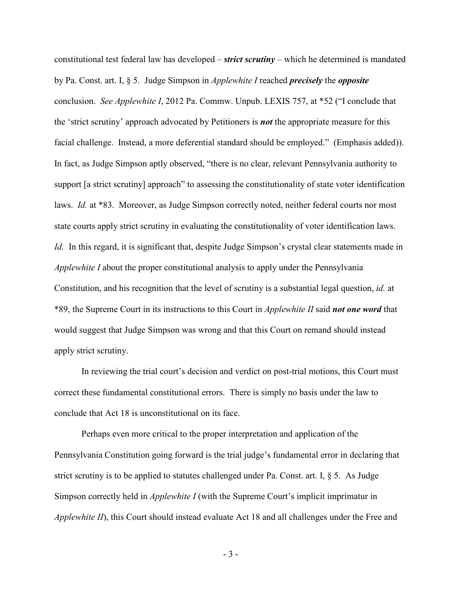constitutional test federal law has developed – *strict scrutiny* – which he determined is mandated by Pa. Const. art. I, § 5. Judge Simpson in *Applewhite I* reached *precisely* the *opposite* conclusion. *See Applewhite I*, 2012 Pa. Commw. Unpub. LEXIS 757, at \*52 ("I conclude that the 'strict scrutiny' approach advocated by Petitioners is *not* the appropriate measure for this facial challenge. Instead, a more deferential standard should be employed." (Emphasis added)). In fact, as Judge Simpson aptly observed, "there is no clear, relevant Pennsylvania authority to support [a strict scrutiny] approach" to assessing the constitutionality of state voter identification laws. *Id.* at \*83. Moreover, as Judge Simpson correctly noted, neither federal courts nor most state courts apply strict scrutiny in evaluating the constitutionality of voter identification laws. *Id.* In this regard, it is significant that, despite Judge Simpson's crystal clear statements made in *Applewhite I* about the proper constitutional analysis to apply under the Pennsylvania Constitution, and his recognition that the level of scrutiny is a substantial legal question, *id.* at \*89, the Supreme Court in its instructions to this Court in *Applewhite II* said *not one word* that would suggest that Judge Simpson was wrong and that this Court on remand should instead apply strict scrutiny.

In reviewing the trial court's decision and verdict on post-trial motions, this Court must correct these fundamental constitutional errors. There is simply no basis under the law to conclude that Act 18 is unconstitutional on its face.

Perhaps even more critical to the proper interpretation and application of the Pennsylvania Constitution going forward is the trial judge's fundamental error in declaring that strict scrutiny is to be applied to statutes challenged under Pa. Const. art. I, § 5. As Judge Simpson correctly held in *Applewhite I* (with the Supreme Court's implicit imprimatur in *Applewhite II*), this Court should instead evaluate Act 18 and all challenges under the Free and

- 3 -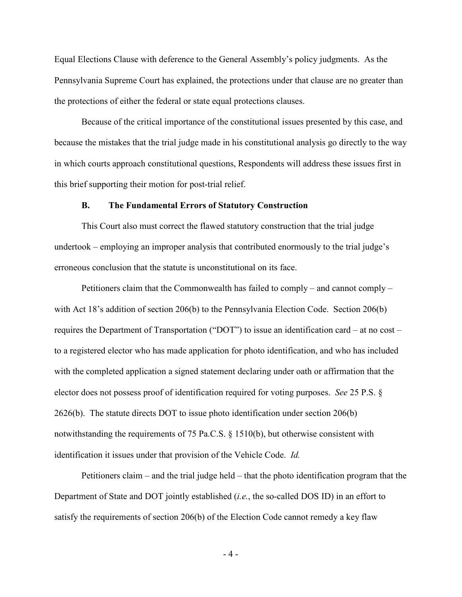Equal Elections Clause with deference to the General Assembly's policy judgments. As the Pennsylvania Supreme Court has explained, the protections under that clause are no greater than the protections of either the federal or state equal protections clauses.

Because of the critical importance of the constitutional issues presented by this case, and because the mistakes that the trial judge made in his constitutional analysis go directly to the way in which courts approach constitutional questions, Respondents will address these issues first in this brief supporting their motion for post-trial relief.

#### **B. The Fundamental Errors of Statutory Construction**

This Court also must correct the flawed statutory construction that the trial judge undertook – employing an improper analysis that contributed enormously to the trial judge's erroneous conclusion that the statute is unconstitutional on its face.

Petitioners claim that the Commonwealth has failed to comply – and cannot comply – with Act 18's addition of section 206(b) to the Pennsylvania Election Code. Section 206(b) requires the Department of Transportation ("DOT") to issue an identification card – at no cost – to a registered elector who has made application for photo identification, and who has included with the completed application a signed statement declaring under oath or affirmation that the elector does not possess proof of identification required for voting purposes. *See* 25 P.S. § 2626(b). The statute directs DOT to issue photo identification under section 206(b) notwithstanding the requirements of 75 Pa.C.S. § 1510(b), but otherwise consistent with identification it issues under that provision of the Vehicle Code. *Id.* 

Petitioners claim – and the trial judge held – that the photo identification program that the Department of State and DOT jointly established (*i.e.*, the so-called DOS ID) in an effort to satisfy the requirements of section 206(b) of the Election Code cannot remedy a key flaw

- 4 -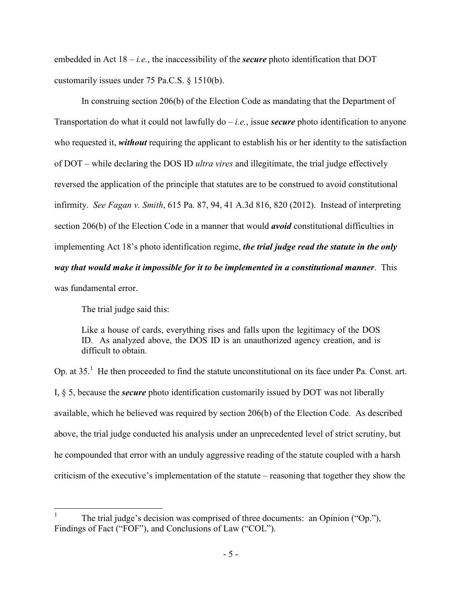embedded in Act  $18 - i.e.$ , the inaccessibility of the *secure* photo identification that DOT customarily issues under 75 Pa.C.S. § 1510(b).

In construing section 206(b) of the Election Code as mandating that the Department of Transportation do what it could not lawfully do – *i.e.*, issue *secure* photo identification to anyone who requested it, *without* requiring the applicant to establish his or her identity to the satisfaction of DOT – while declaring the DOS ID *ultra vires* and illegitimate, the trial judge effectively reversed the application of the principle that statutes are to be construed to avoid constitutional infirmity. *See Fagan v. Smith*, 615 Pa. 87, 94, 41 A.3d 816, 820 (2012). Instead of interpreting section 206(b) of the Election Code in a manner that would *avoid* constitutional difficulties in implementing Act 18's photo identification regime, *the trial judge read the statute in the only way that would make it impossible for it to be implemented in a constitutional manner*. This was fundamental error.

The trial judge said this:

Like a house of cards, everything rises and falls upon the legitimacy of the DOS ID. As analyzed above, the DOS ID is an unauthorized agency creation, and is difficult to obtain.

Op. at  $35<sup>1</sup>$  He then proceeded to find the statute unconstitutional on its face under Pa. Const. art. I, § 5, because the *secure* photo identification customarily issued by DOT was not liberally available, which he believed was required by section 206(b) of the Election Code. As described above, the trial judge conducted his analysis under an unprecedented level of strict scrutiny, but he compounded that error with an unduly aggressive reading of the statute coupled with a harsh criticism of the executive's implementation of the statute – reasoning that together they show the

 $\frac{1}{1}$  The trial judge's decision was comprised of three documents: an Opinion ("Op."), Findings of Fact ("FOF"), and Conclusions of Law ("COL").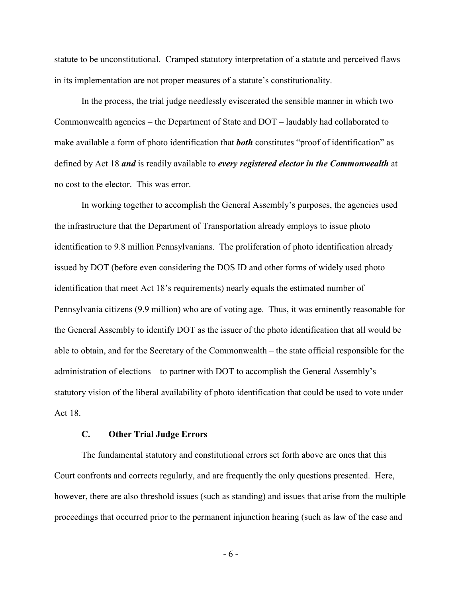statute to be unconstitutional. Cramped statutory interpretation of a statute and perceived flaws in its implementation are not proper measures of a statute's constitutionality.

In the process, the trial judge needlessly eviscerated the sensible manner in which two Commonwealth agencies – the Department of State and DOT – laudably had collaborated to make available a form of photo identification that *both* constitutes "proof of identification" as defined by Act 18 *and* is readily available to *every registered elector in the Commonwealth* at no cost to the elector. This was error.

In working together to accomplish the General Assembly's purposes, the agencies used the infrastructure that the Department of Transportation already employs to issue photo identification to 9.8 million Pennsylvanians. The proliferation of photo identification already issued by DOT (before even considering the DOS ID and other forms of widely used photo identification that meet Act 18's requirements) nearly equals the estimated number of Pennsylvania citizens (9.9 million) who are of voting age. Thus, it was eminently reasonable for the General Assembly to identify DOT as the issuer of the photo identification that all would be able to obtain, and for the Secretary of the Commonwealth – the state official responsible for the administration of elections – to partner with DOT to accomplish the General Assembly's statutory vision of the liberal availability of photo identification that could be used to vote under Act 18.

#### **C. Other Trial Judge Errors**

The fundamental statutory and constitutional errors set forth above are ones that this Court confronts and corrects regularly, and are frequently the only questions presented. Here, however, there are also threshold issues (such as standing) and issues that arise from the multiple proceedings that occurred prior to the permanent injunction hearing (such as law of the case and

- 6 -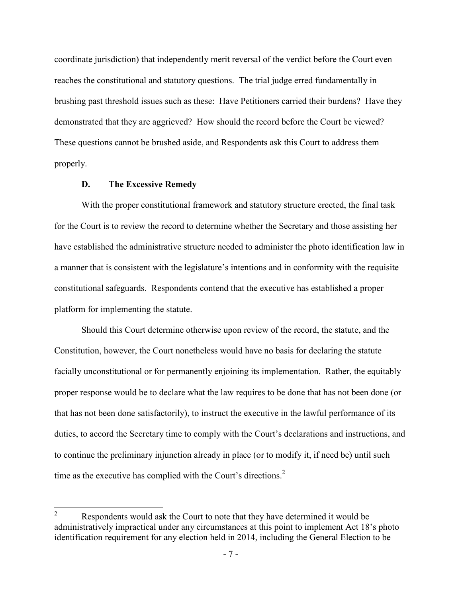coordinate jurisdiction) that independently merit reversal of the verdict before the Court even reaches the constitutional and statutory questions. The trial judge erred fundamentally in brushing past threshold issues such as these: Have Petitioners carried their burdens? Have they demonstrated that they are aggrieved? How should the record before the Court be viewed? These questions cannot be brushed aside, and Respondents ask this Court to address them properly.

#### **D. The Excessive Remedy**

With the proper constitutional framework and statutory structure erected, the final task for the Court is to review the record to determine whether the Secretary and those assisting her have established the administrative structure needed to administer the photo identification law in a manner that is consistent with the legislature's intentions and in conformity with the requisite constitutional safeguards. Respondents contend that the executive has established a proper platform for implementing the statute.

Should this Court determine otherwise upon review of the record, the statute, and the Constitution, however, the Court nonetheless would have no basis for declaring the statute facially unconstitutional or for permanently enjoining its implementation. Rather, the equitably proper response would be to declare what the law requires to be done that has not been done (or that has not been done satisfactorily), to instruct the executive in the lawful performance of its duties, to accord the Secretary time to comply with the Court's declarations and instructions, and to continue the preliminary injunction already in place (or to modify it, if need be) until such time as the executive has complied with the Court's directions.<sup>2</sup>

 $\frac{1}{2}$  Respondents would ask the Court to note that they have determined it would be administratively impractical under any circumstances at this point to implement Act 18's photo identification requirement for any election held in 2014, including the General Election to be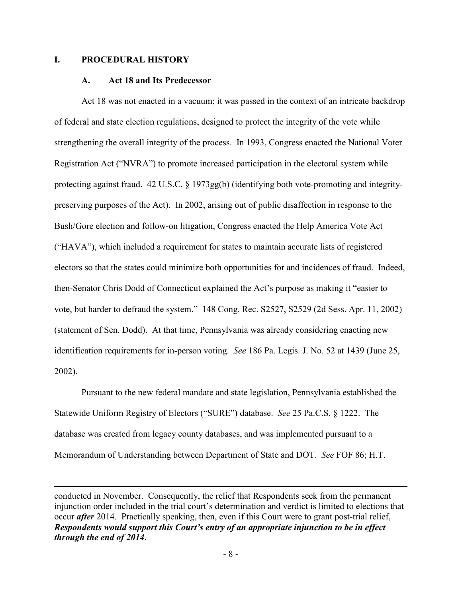### **I. PROCEDURAL HISTORY**

 $\overline{a}$ 

#### **A. Act 18 and Its Predecessor**

Act 18 was not enacted in a vacuum; it was passed in the context of an intricate backdrop of federal and state election regulations, designed to protect the integrity of the vote while strengthening the overall integrity of the process. In 1993, Congress enacted the National Voter Registration Act ("NVRA") to promote increased participation in the electoral system while protecting against fraud. 42 U.S.C. § 1973gg(b) (identifying both vote-promoting and integritypreserving purposes of the Act). In 2002, arising out of public disaffection in response to the Bush/Gore election and follow-on litigation, Congress enacted the Help America Vote Act ("HAVA"), which included a requirement for states to maintain accurate lists of registered electors so that the states could minimize both opportunities for and incidences of fraud. Indeed, then-Senator Chris Dodd of Connecticut explained the Act's purpose as making it "easier to vote, but harder to defraud the system." 148 Cong. Rec. S2527, S2529 (2d Sess. Apr. 11, 2002) (statement of Sen. Dodd). At that time, Pennsylvania was already considering enacting new identification requirements for in-person voting. *See* 186 Pa. Legis. J. No. 52 at 1439 (June 25, 2002).

 Pursuant to the new federal mandate and state legislation, Pennsylvania established the Statewide Uniform Registry of Electors ("SURE") database. *See* 25 Pa.C.S. § 1222. The database was created from legacy county databases, and was implemented pursuant to a Memorandum of Understanding between Department of State and DOT. *See* FOF 86; H.T.

conducted in November. Consequently, the relief that Respondents seek from the permanent injunction order included in the trial court's determination and verdict is limited to elections that occur *after* 2014. Practically speaking, then, even if this Court were to grant post-trial relief, *Respondents would support this Court's entry of an appropriate injunction to be in effect through the end of 2014*.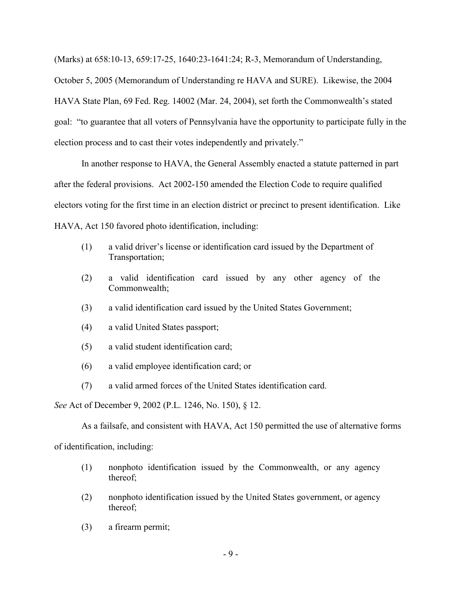(Marks) at 658:10-13, 659:17-25, 1640:23-1641:24; R-3, Memorandum of Understanding, October 5, 2005 (Memorandum of Understanding re HAVA and SURE). Likewise, the 2004 HAVA State Plan, 69 Fed. Reg. 14002 (Mar. 24, 2004), set forth the Commonwealth's stated goal: "to guarantee that all voters of Pennsylvania have the opportunity to participate fully in the election process and to cast their votes independently and privately."

 In another response to HAVA, the General Assembly enacted a statute patterned in part after the federal provisions. Act 2002-150 amended the Election Code to require qualified electors voting for the first time in an election district or precinct to present identification. Like HAVA, Act 150 favored photo identification, including:

- (1) a valid driver's license or identification card issued by the Department of Transportation;
- (2) a valid identification card issued by any other agency of the Commonwealth;
- (3) a valid identification card issued by the United States Government;
- (4) a valid United States passport;
- (5) a valid student identification card;
- (6) a valid employee identification card; or
- (7) a valid armed forces of the United States identification card.

*See* Act of December 9, 2002 (P.L. 1246, No. 150), § 12.

As a failsafe, and consistent with HAVA, Act 150 permitted the use of alternative forms

of identification, including:

- (1) nonphoto identification issued by the Commonwealth, or any agency thereof;
- (2) nonphoto identification issued by the United States government, or agency thereof;
- (3) a firearm permit;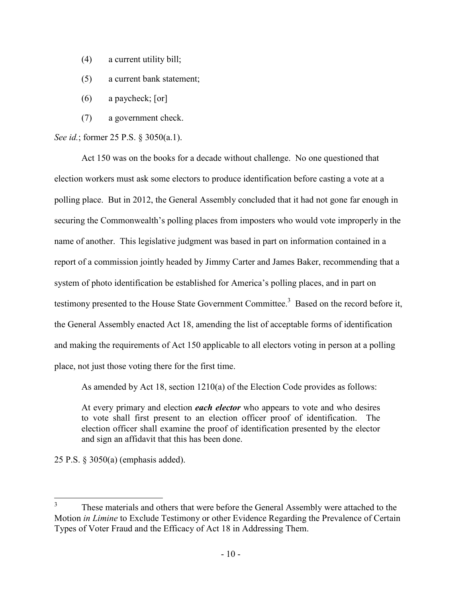- (4) a current utility bill;
- (5) a current bank statement;
- (6) a paycheck; [or]
- (7) a government check.

*See id.*; former 25 P.S. § 3050(a.1).

 Act 150 was on the books for a decade without challenge. No one questioned that election workers must ask some electors to produce identification before casting a vote at a polling place. But in 2012, the General Assembly concluded that it had not gone far enough in securing the Commonwealth's polling places from imposters who would vote improperly in the name of another. This legislative judgment was based in part on information contained in a report of a commission jointly headed by Jimmy Carter and James Baker, recommending that a system of photo identification be established for America's polling places, and in part on testimony presented to the House State Government Committee.<sup>3</sup> Based on the record before it, the General Assembly enacted Act 18, amending the list of acceptable forms of identification and making the requirements of Act 150 applicable to all electors voting in person at a polling place, not just those voting there for the first time.

As amended by Act 18, section 1210(a) of the Election Code provides as follows:

At every primary and election *each elector* who appears to vote and who desires to vote shall first present to an election officer proof of identification. The election officer shall examine the proof of identification presented by the elector and sign an affidavit that this has been done.

25 P.S. § 3050(a) (emphasis added).

-

<sup>3</sup> These materials and others that were before the General Assembly were attached to the Motion *in Limine* to Exclude Testimony or other Evidence Regarding the Prevalence of Certain Types of Voter Fraud and the Efficacy of Act 18 in Addressing Them.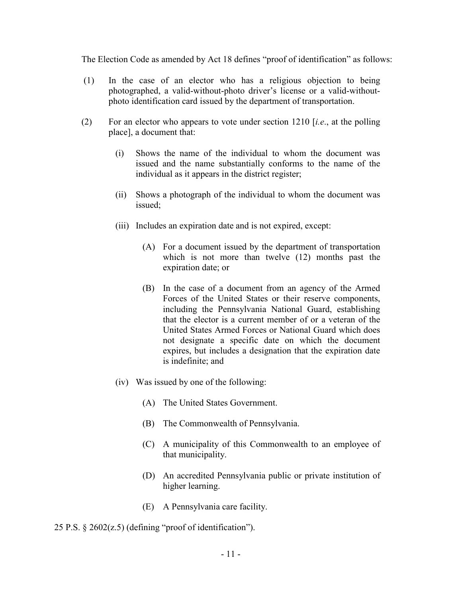The Election Code as amended by Act 18 defines "proof of identification" as follows:

- (1) In the case of an elector who has a religious objection to being photographed, a valid-without-photo driver's license or a valid-withoutphoto identification card issued by the department of transportation.
- (2) For an elector who appears to vote under section 1210 [*i.e*., at the polling place], a document that:
	- (i) Shows the name of the individual to whom the document was issued and the name substantially conforms to the name of the individual as it appears in the district register;
	- (ii) Shows a photograph of the individual to whom the document was issued;
	- (iii) Includes an expiration date and is not expired, except:
		- (A) For a document issued by the department of transportation which is not more than twelve (12) months past the expiration date; or
		- (B) In the case of a document from an agency of the Armed Forces of the United States or their reserve components, including the Pennsylvania National Guard, establishing that the elector is a current member of or a veteran of the United States Armed Forces or National Guard which does not designate a specific date on which the document expires, but includes a designation that the expiration date is indefinite; and
	- (iv) Was issued by one of the following:
		- (A) The United States Government.
		- (B) The Commonwealth of Pennsylvania.
		- (C) A municipality of this Commonwealth to an employee of that municipality.
		- (D) An accredited Pennsylvania public or private institution of higher learning.
		- (E) A Pennsylvania care facility.

25 P.S. § 2602(z.5) (defining "proof of identification").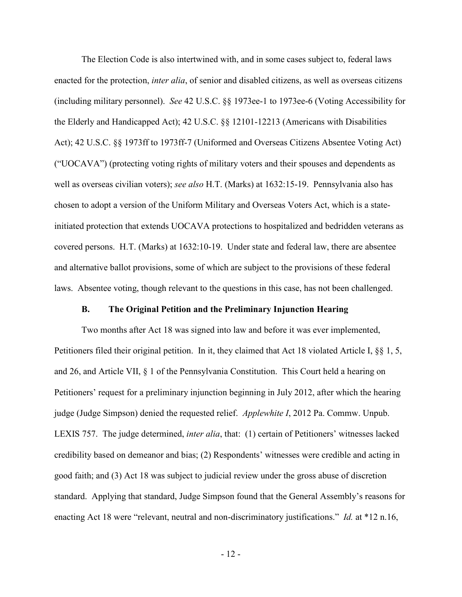The Election Code is also intertwined with, and in some cases subject to, federal laws enacted for the protection, *inter alia*, of senior and disabled citizens, as well as overseas citizens (including military personnel). *See* 42 U.S.C. §§ 1973ee-1 to 1973ee-6 (Voting Accessibility for the Elderly and Handicapped Act); 42 U.S.C. §§ 12101-12213 (Americans with Disabilities Act); 42 U.S.C. §§ 1973ff to 1973ff-7 (Uniformed and Overseas Citizens Absentee Voting Act) ("UOCAVA") (protecting voting rights of military voters and their spouses and dependents as well as overseas civilian voters); *see also* H.T. (Marks) at 1632:15-19. Pennsylvania also has chosen to adopt a version of the Uniform Military and Overseas Voters Act, which is a stateinitiated protection that extends UOCAVA protections to hospitalized and bedridden veterans as covered persons. H.T. (Marks) at 1632:10-19. Under state and federal law, there are absentee and alternative ballot provisions, some of which are subject to the provisions of these federal laws. Absentee voting, though relevant to the questions in this case, has not been challenged.

#### **B. The Original Petition and the Preliminary Injunction Hearing**

Two months after Act 18 was signed into law and before it was ever implemented, Petitioners filed their original petition. In it, they claimed that Act 18 violated Article I, §§ 1, 5, and 26, and Article VII, § 1 of the Pennsylvania Constitution. This Court held a hearing on Petitioners' request for a preliminary injunction beginning in July 2012, after which the hearing judge (Judge Simpson) denied the requested relief. *Applewhite I*, 2012 Pa. Commw. Unpub. LEXIS 757. The judge determined, *inter alia*, that: (1) certain of Petitioners' witnesses lacked credibility based on demeanor and bias; (2) Respondents' witnesses were credible and acting in good faith; and (3) Act 18 was subject to judicial review under the gross abuse of discretion standard. Applying that standard, Judge Simpson found that the General Assembly's reasons for enacting Act 18 were "relevant, neutral and non-discriminatory justifications." *Id.* at \*12 n.16,

- 12 -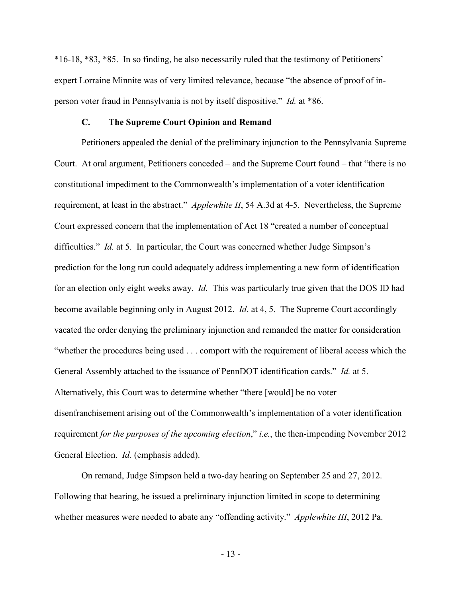\*16-18, \*83, \*85. In so finding, he also necessarily ruled that the testimony of Petitioners' expert Lorraine Minnite was of very limited relevance, because "the absence of proof of inperson voter fraud in Pennsylvania is not by itself dispositive." *Id.* at \*86.

#### **C. The Supreme Court Opinion and Remand**

Petitioners appealed the denial of the preliminary injunction to the Pennsylvania Supreme Court. At oral argument, Petitioners conceded – and the Supreme Court found – that "there is no constitutional impediment to the Commonwealth's implementation of a voter identification requirement, at least in the abstract." *Applewhite II*, 54 A.3d at 4-5. Nevertheless, the Supreme Court expressed concern that the implementation of Act 18 "created a number of conceptual difficulties." *Id.* at 5. In particular, the Court was concerned whether Judge Simpson's prediction for the long run could adequately address implementing a new form of identification for an election only eight weeks away. *Id.* This was particularly true given that the DOS ID had become available beginning only in August 2012. *Id*. at 4, 5. The Supreme Court accordingly vacated the order denying the preliminary injunction and remanded the matter for consideration "whether the procedures being used . . . comport with the requirement of liberal access which the General Assembly attached to the issuance of PennDOT identification cards." *Id.* at 5. Alternatively, this Court was to determine whether "there [would] be no voter disenfranchisement arising out of the Commonwealth's implementation of a voter identification requirement *for the purposes of the upcoming election*," *i.e.*, the then-impending November 2012 General Election. *Id.* (emphasis added).

On remand, Judge Simpson held a two-day hearing on September 25 and 27, 2012. Following that hearing, he issued a preliminary injunction limited in scope to determining whether measures were needed to abate any "offending activity." *Applewhite III*, 2012 Pa.

- 13 -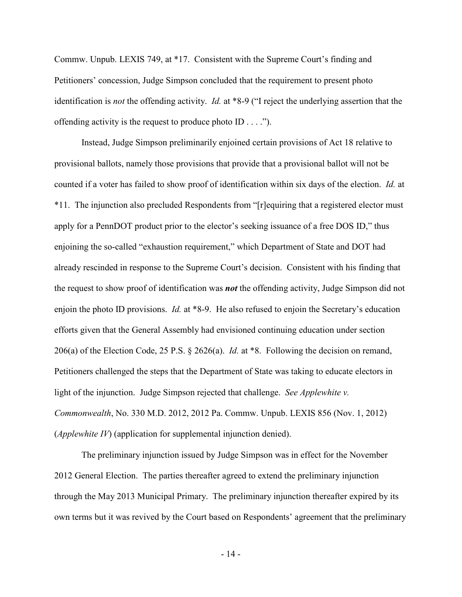Commw. Unpub. LEXIS 749, at \*17. Consistent with the Supreme Court's finding and Petitioners' concession, Judge Simpson concluded that the requirement to present photo identification is *not* the offending activity. *Id.* at \*8-9 ("I reject the underlying assertion that the offending activity is the request to produce photo ID . . . .").

Instead, Judge Simpson preliminarily enjoined certain provisions of Act 18 relative to provisional ballots, namely those provisions that provide that a provisional ballot will not be counted if a voter has failed to show proof of identification within six days of the election. *Id.* at \*11. The injunction also precluded Respondents from "[r]equiring that a registered elector must apply for a PennDOT product prior to the elector's seeking issuance of a free DOS ID," thus enjoining the so-called "exhaustion requirement," which Department of State and DOT had already rescinded in response to the Supreme Court's decision. Consistent with his finding that the request to show proof of identification was *not* the offending activity, Judge Simpson did not enjoin the photo ID provisions. *Id.* at \*8-9. He also refused to enjoin the Secretary's education efforts given that the General Assembly had envisioned continuing education under section 206(a) of the Election Code, 25 P.S. § 2626(a). *Id.* at \*8. Following the decision on remand, Petitioners challenged the steps that the Department of State was taking to educate electors in light of the injunction. Judge Simpson rejected that challenge. *See Applewhite v. Commonwealth*, No. 330 M.D. 2012, 2012 Pa. Commw. Unpub. LEXIS 856 (Nov. 1, 2012) (*Applewhite IV*) (application for supplemental injunction denied).

The preliminary injunction issued by Judge Simpson was in effect for the November 2012 General Election. The parties thereafter agreed to extend the preliminary injunction through the May 2013 Municipal Primary. The preliminary injunction thereafter expired by its own terms but it was revived by the Court based on Respondents' agreement that the preliminary

- 14 -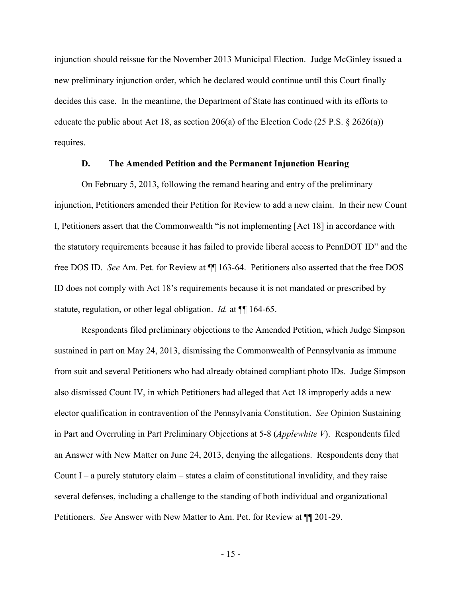injunction should reissue for the November 2013 Municipal Election. Judge McGinley issued a new preliminary injunction order, which he declared would continue until this Court finally decides this case. In the meantime, the Department of State has continued with its efforts to educate the public about Act 18, as section 206(a) of the Election Code (25 P.S. § 2626(a)) requires.

#### **D. The Amended Petition and the Permanent Injunction Hearing**

On February 5, 2013, following the remand hearing and entry of the preliminary injunction, Petitioners amended their Petition for Review to add a new claim. In their new Count I, Petitioners assert that the Commonwealth "is not implementing [Act 18] in accordance with the statutory requirements because it has failed to provide liberal access to PennDOT ID" and the free DOS ID. *See* Am. Pet. for Review at ¶¶ 163-64. Petitioners also asserted that the free DOS ID does not comply with Act 18's requirements because it is not mandated or prescribed by statute, regulation, or other legal obligation. *Id.* at  $\P$  164-65.

 Respondents filed preliminary objections to the Amended Petition, which Judge Simpson sustained in part on May 24, 2013, dismissing the Commonwealth of Pennsylvania as immune from suit and several Petitioners who had already obtained compliant photo IDs. Judge Simpson also dismissed Count IV, in which Petitioners had alleged that Act 18 improperly adds a new elector qualification in contravention of the Pennsylvania Constitution. *See* Opinion Sustaining in Part and Overruling in Part Preliminary Objections at 5-8 (*Applewhite V*). Respondents filed an Answer with New Matter on June 24, 2013, denying the allegations. Respondents deny that Count I – a purely statutory claim – states a claim of constitutional invalidity, and they raise several defenses, including a challenge to the standing of both individual and organizational Petitioners. *See* Answer with New Matter to Am. Pet. for Review at ¶¶ 201-29.

- 15 -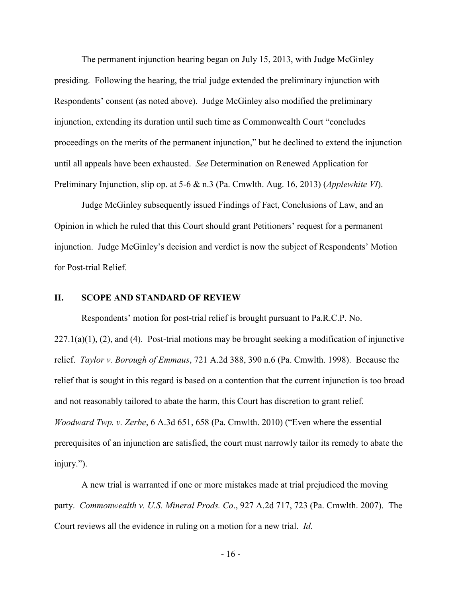The permanent injunction hearing began on July 15, 2013, with Judge McGinley presiding. Following the hearing, the trial judge extended the preliminary injunction with Respondents' consent (as noted above). Judge McGinley also modified the preliminary injunction, extending its duration until such time as Commonwealth Court "concludes proceedings on the merits of the permanent injunction," but he declined to extend the injunction until all appeals have been exhausted. *See* Determination on Renewed Application for Preliminary Injunction, slip op. at 5-6 & n.3 (Pa. Cmwlth. Aug. 16, 2013) (*Applewhite VI*).

Judge McGinley subsequently issued Findings of Fact, Conclusions of Law, and an Opinion in which he ruled that this Court should grant Petitioners' request for a permanent injunction. Judge McGinley's decision and verdict is now the subject of Respondents' Motion for Post-trial Relief.

#### **II. SCOPE AND STANDARD OF REVIEW**

Respondents' motion for post-trial relief is brought pursuant to Pa.R.C.P. No.  $227.1(a)(1)$ ,  $(2)$ , and  $(4)$ . Post-trial motions may be brought seeking a modification of injunctive relief. *Taylor v. Borough of Emmaus*, 721 A.2d 388, 390 n.6 (Pa. Cmwlth. 1998). Because the relief that is sought in this regard is based on a contention that the current injunction is too broad and not reasonably tailored to abate the harm, this Court has discretion to grant relief. *Woodward Twp. v. Zerbe*, 6 A.3d 651, 658 (Pa. Cmwlth. 2010) ("Even where the essential prerequisites of an injunction are satisfied, the court must narrowly tailor its remedy to abate the injury.").

 A new trial is warranted if one or more mistakes made at trial prejudiced the moving party. *Commonwealth v. U.S. Mineral Prods. Co*., 927 A.2d 717, 723 (Pa. Cmwlth. 2007). The Court reviews all the evidence in ruling on a motion for a new trial. *Id.*

- 16 -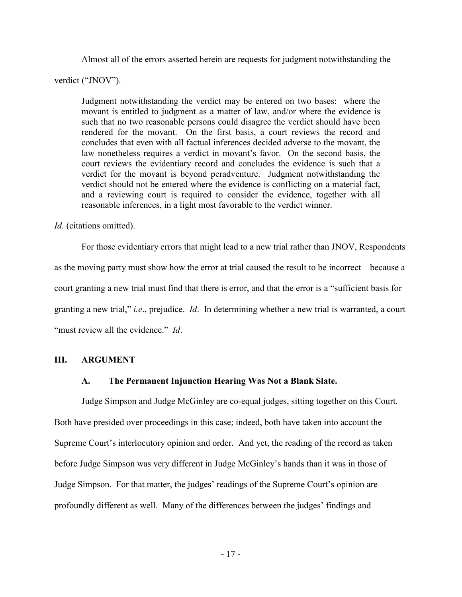Almost all of the errors asserted herein are requests for judgment notwithstanding the

verdict ("JNOV").

Judgment notwithstanding the verdict may be entered on two bases: where the movant is entitled to judgment as a matter of law, and/or where the evidence is such that no two reasonable persons could disagree the verdict should have been rendered for the movant. On the first basis, a court reviews the record and concludes that even with all factual inferences decided adverse to the movant, the law nonetheless requires a verdict in movant's favor. On the second basis, the court reviews the evidentiary record and concludes the evidence is such that a verdict for the movant is beyond peradventure. Judgment notwithstanding the verdict should not be entered where the evidence is conflicting on a material fact, and a reviewing court is required to consider the evidence, together with all reasonable inferences, in a light most favorable to the verdict winner.

*Id.* (citations omitted).

 For those evidentiary errors that might lead to a new trial rather than JNOV, Respondents as the moving party must show how the error at trial caused the result to be incorrect – because a court granting a new trial must find that there is error, and that the error is a "sufficient basis for granting a new trial," *i.e*., prejudice. *Id*. In determining whether a new trial is warranted, a court "must review all the evidence." *Id*.

## **III. ARGUMENT**

## **A. The Permanent Injunction Hearing Was Not a Blank Slate.**

Judge Simpson and Judge McGinley are co-equal judges, sitting together on this Court. Both have presided over proceedings in this case; indeed, both have taken into account the Supreme Court's interlocutory opinion and order. And yet, the reading of the record as taken before Judge Simpson was very different in Judge McGinley's hands than it was in those of Judge Simpson. For that matter, the judges' readings of the Supreme Court's opinion are profoundly different as well. Many of the differences between the judges' findings and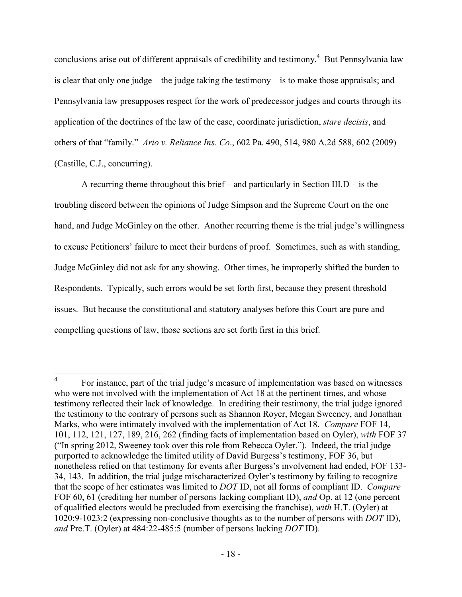conclusions arise out of different appraisals of credibility and testimony.<sup>4</sup> But Pennsylvania law is clear that only one judge – the judge taking the testimony – is to make those appraisals; and Pennsylvania law presupposes respect for the work of predecessor judges and courts through its application of the doctrines of the law of the case, coordinate jurisdiction, *stare decisis*, and others of that "family." *Ario v. Reliance Ins. Co*., 602 Pa. 490, 514, 980 A.2d 588, 602 (2009) (Castille, C.J., concurring).

 A recurring theme throughout this brief – and particularly in Section III.D – is the troubling discord between the opinions of Judge Simpson and the Supreme Court on the one hand, and Judge McGinley on the other. Another recurring theme is the trial judge's willingness to excuse Petitioners' failure to meet their burdens of proof. Sometimes, such as with standing, Judge McGinley did not ask for any showing. Other times, he improperly shifted the burden to Respondents. Typically, such errors would be set forth first, because they present threshold issues. But because the constitutional and statutory analyses before this Court are pure and compelling questions of law, those sections are set forth first in this brief.

 $\frac{1}{4}$  For instance, part of the trial judge's measure of implementation was based on witnesses who were not involved with the implementation of Act 18 at the pertinent times, and whose testimony reflected their lack of knowledge. In crediting their testimony, the trial judge ignored the testimony to the contrary of persons such as Shannon Royer, Megan Sweeney, and Jonathan Marks, who were intimately involved with the implementation of Act 18. *Compare* FOF 14, 101, 112, 121, 127, 189, 216, 262 (finding facts of implementation based on Oyler), *with* FOF 37 ("In spring 2012, Sweeney took over this role from Rebecca Oyler."). Indeed, the trial judge purported to acknowledge the limited utility of David Burgess's testimony, FOF 36, but nonetheless relied on that testimony for events after Burgess's involvement had ended, FOF 133- 34, 143. In addition, the trial judge mischaracterized Oyler's testimony by failing to recognize that the scope of her estimates was limited to *DOT* ID, not all forms of compliant ID. *Compare* FOF 60, 61 (crediting her number of persons lacking compliant ID), *and* Op. at 12 (one percent of qualified electors would be precluded from exercising the franchise), *with* H.T. (Oyler) at 1020:9-1023:2 (expressing non-conclusive thoughts as to the number of persons with *DOT* ID), *and* Pre.T. (Oyler) at 484:22-485:5 (number of persons lacking *DOT* ID).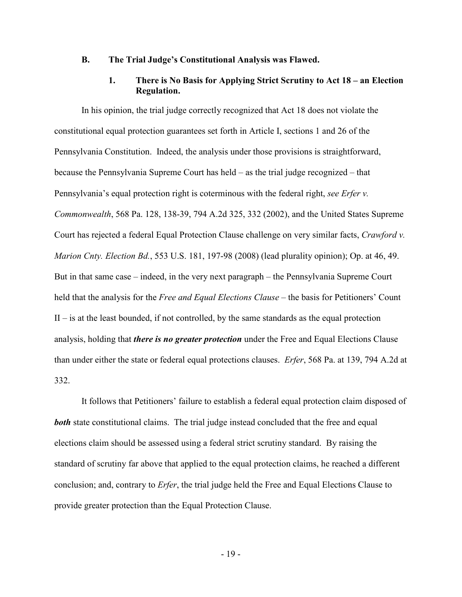#### **B. The Trial Judge's Constitutional Analysis was Flawed.**

### **1. There is No Basis for Applying Strict Scrutiny to Act 18 – an Election Regulation.**

In his opinion, the trial judge correctly recognized that Act 18 does not violate the constitutional equal protection guarantees set forth in Article I, sections 1 and 26 of the Pennsylvania Constitution. Indeed, the analysis under those provisions is straightforward, because the Pennsylvania Supreme Court has held – as the trial judge recognized – that Pennsylvania's equal protection right is coterminous with the federal right, *see Erfer v. Commonwealth*, 568 Pa. 128, 138-39, 794 A.2d 325, 332 (2002), and the United States Supreme Court has rejected a federal Equal Protection Clause challenge on very similar facts, *Crawford v. Marion Cnty. Election Bd.*, 553 U.S. 181, 197-98 (2008) (lead plurality opinion); Op. at 46, 49. But in that same case – indeed, in the very next paragraph – the Pennsylvania Supreme Court held that the analysis for the *Free and Equal Elections Clause –* the basis for Petitioners' Count II – is at the least bounded, if not controlled, by the same standards as the equal protection analysis, holding that *there is no greater protection* under the Free and Equal Elections Clause than under either the state or federal equal protections clauses. *Erfer*, 568 Pa. at 139, 794 A.2d at 332.

It follows that Petitioners' failure to establish a federal equal protection claim disposed of **both** state constitutional claims. The trial judge instead concluded that the free and equal elections claim should be assessed using a federal strict scrutiny standard. By raising the standard of scrutiny far above that applied to the equal protection claims, he reached a different conclusion; and, contrary to *Erfer*, the trial judge held the Free and Equal Elections Clause to provide greater protection than the Equal Protection Clause.

- 19 -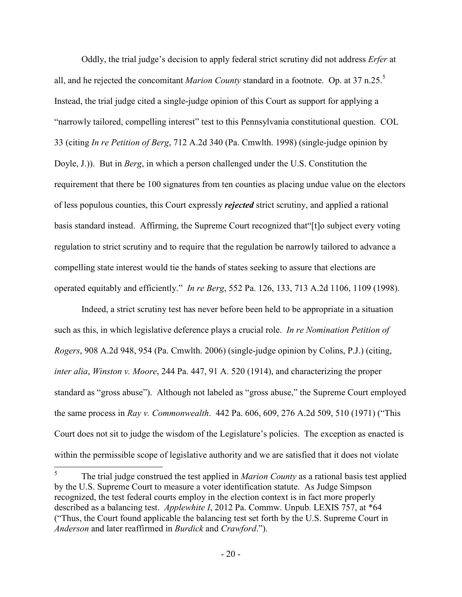Oddly, the trial judge's decision to apply federal strict scrutiny did not address *Erfer* at all, and he rejected the concomitant *Marion County* standard in a footnote. Op. at 37 n.25.<sup>5</sup> Instead, the trial judge cited a single-judge opinion of this Court as support for applying a "narrowly tailored, compelling interest" test to this Pennsylvania constitutional question. COL 33 (citing *In re Petition of Berg*, 712 A.2d 340 (Pa. Cmwlth. 1998) (single-judge opinion by Doyle, J.)). But in *Berg*, in which a person challenged under the U.S. Constitution the requirement that there be 100 signatures from ten counties as placing undue value on the electors of less populous counties, this Court expressly *rejected* strict scrutiny, and applied a rational basis standard instead. Affirming, the Supreme Court recognized that"[t]o subject every voting regulation to strict scrutiny and to require that the regulation be narrowly tailored to advance a compelling state interest would tie the hands of states seeking to assure that elections are operated equitably and efficiently." *In re Berg*, 552 Pa. 126, 133, 713 A.2d 1106, 1109 (1998).

Indeed, a strict scrutiny test has never before been held to be appropriate in a situation such as this, in which legislative deference plays a crucial role. *In re Nomination Petition of Rogers*, 908 A.2d 948, 954 (Pa. Cmwlth. 2006) (single-judge opinion by Colins, P.J.) (citing, *inter alia*, *Winston v. Moore*, 244 Pa. 447, 91 A. 520 (1914), and characterizing the proper standard as "gross abuse"). Although not labeled as "gross abuse," the Supreme Court employed the same process in *Ray v. Commonwealth*. 442 Pa. 606, 609, 276 A.2d 509, 510 (1971) ("This Court does not sit to judge the wisdom of the Legislature's policies. The exception as enacted is within the permissible scope of legislative authority and we are satisfied that it does not violate

<u>.</u>

<sup>5</sup> The trial judge construed the test applied in *Marion County* as a rational basis test applied by the U.S. Supreme Court to measure a voter identification statute. As Judge Simpson recognized, the test federal courts employ in the election context is in fact more properly described as a balancing test. *Applewhite I*, 2012 Pa. Commw. Unpub. LEXIS 757, at \*64 ("Thus, the Court found applicable the balancing test set forth by the U.S. Supreme Court in *Anderson* and later reaffirmed in *Burdick* and *Crawford*.").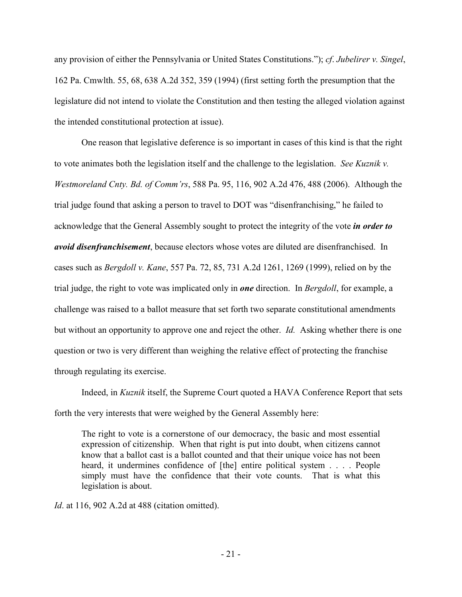any provision of either the Pennsylvania or United States Constitutions."); *cf*. *Jubelirer v. Singel*, 162 Pa. Cmwlth. 55, 68, 638 A.2d 352, 359 (1994) (first setting forth the presumption that the legislature did not intend to violate the Constitution and then testing the alleged violation against the intended constitutional protection at issue).

One reason that legislative deference is so important in cases of this kind is that the right to vote animates both the legislation itself and the challenge to the legislation. *See Kuznik v. Westmoreland Cnty. Bd. of Comm'rs*, 588 Pa. 95, 116, 902 A.2d 476, 488 (2006). Although the trial judge found that asking a person to travel to DOT was "disenfranchising," he failed to acknowledge that the General Assembly sought to protect the integrity of the vote *in order to avoid disenfranchisement*, because electors whose votes are diluted are disenfranchised. In cases such as *Bergdoll v. Kane*, 557 Pa. 72, 85, 731 A.2d 1261, 1269 (1999), relied on by the trial judge, the right to vote was implicated only in *one* direction. In *Bergdoll*, for example, a challenge was raised to a ballot measure that set forth two separate constitutional amendments but without an opportunity to approve one and reject the other. *Id.* Asking whether there is one question or two is very different than weighing the relative effect of protecting the franchise through regulating its exercise.

Indeed, in *Kuznik* itself, the Supreme Court quoted a HAVA Conference Report that sets forth the very interests that were weighed by the General Assembly here:

The right to vote is a cornerstone of our democracy, the basic and most essential expression of citizenship. When that right is put into doubt, when citizens cannot know that a ballot cast is a ballot counted and that their unique voice has not been heard, it undermines confidence of [the] entire political system . . . . People simply must have the confidence that their vote counts. That is what this legislation is about.

*Id*. at 116, 902 A.2d at 488 (citation omitted).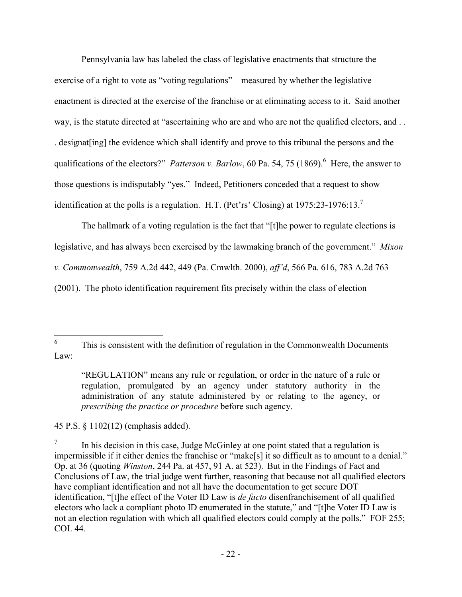Pennsylvania law has labeled the class of legislative enactments that structure the exercise of a right to vote as "voting regulations" – measured by whether the legislative enactment is directed at the exercise of the franchise or at eliminating access to it. Said another way, is the statute directed at "ascertaining who are and who are not the qualified electors, and . . . designat[ing] the evidence which shall identify and prove to this tribunal the persons and the qualifications of the electors?" *Patterson v. Barlow*, 60 Pa. 54, 75 (1869).<sup>6</sup> Here, the answer to those questions is indisputably "yes." Indeed, Petitioners conceded that a request to show identification at the polls is a regulation. H.T. (Pet'rs' Closing) at  $1975:23-1976:13.^7$ 

The hallmark of a voting regulation is the fact that "[t]he power to regulate elections is legislative, and has always been exercised by the lawmaking branch of the government." *Mixon v. Commonwealth*, 759 A.2d 442, 449 (Pa. Cmwlth. 2000), *aff'd*, 566 Pa. 616, 783 A.2d 763 (2001). The photo identification requirement fits precisely within the class of election

45 P.S. § 1102(12) (emphasis added).

 $\frac{1}{6}$  This is consistent with the definition of regulation in the Commonwealth Documents Law:

<sup>&</sup>quot;REGULATION" means any rule or regulation, or order in the nature of a rule or regulation, promulgated by an agency under statutory authority in the administration of any statute administered by or relating to the agency, or *prescribing the practice or procedure* before such agency.

<sup>7</sup> In his decision in this case, Judge McGinley at one point stated that a regulation is impermissible if it either denies the franchise or "make[s] it so difficult as to amount to a denial." Op. at 36 (quoting *Winston*, 244 Pa. at 457, 91 A. at 523). But in the Findings of Fact and Conclusions of Law, the trial judge went further, reasoning that because not all qualified electors have compliant identification and not all have the documentation to get secure DOT identification, "[t]he effect of the Voter ID Law is *de facto* disenfranchisement of all qualified electors who lack a compliant photo ID enumerated in the statute," and "[t]he Voter ID Law is not an election regulation with which all qualified electors could comply at the polls." FOF 255; COL 44.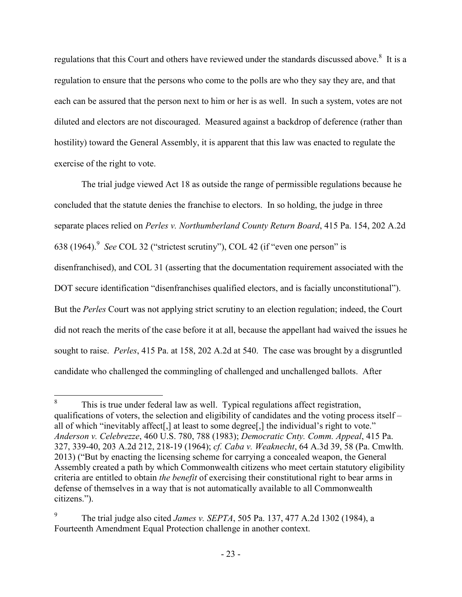regulations that this Court and others have reviewed under the standards discussed above.<sup>8</sup> It is a regulation to ensure that the persons who come to the polls are who they say they are, and that each can be assured that the person next to him or her is as well. In such a system, votes are not diluted and electors are not discouraged. Measured against a backdrop of deference (rather than hostility) toward the General Assembly, it is apparent that this law was enacted to regulate the exercise of the right to vote.

The trial judge viewed Act 18 as outside the range of permissible regulations because he concluded that the statute denies the franchise to electors. In so holding, the judge in three separate places relied on *Perles v. Northumberland County Return Board*, 415 Pa. 154, 202 A.2d 638 (1964).<sup>9</sup> See COL 32 ("strictest scrutiny"), COL 42 (if "even one person" is disenfranchised), and COL 31 (asserting that the documentation requirement associated with the DOT secure identification "disenfranchises qualified electors, and is facially unconstitutional"). But the *Perles* Court was not applying strict scrutiny to an election regulation; indeed, the Court did not reach the merits of the case before it at all, because the appellant had waived the issues he sought to raise. *Perles*, 415 Pa. at 158, 202 A.2d at 540. The case was brought by a disgruntled candidate who challenged the commingling of challenged and unchallenged ballots. After

 8 This is true under federal law as well. Typical regulations affect registration, qualifications of voters, the selection and eligibility of candidates and the voting process itself – all of which "inevitably affect[,] at least to some degree[,] the individual's right to vote." *Anderson v. Celebrezze*, 460 U.S. 780, 788 (1983); *Democratic Cnty. Comm. Appeal*, 415 Pa. 327, 339-40, 203 A.2d 212, 218-19 (1964); *cf. Caba v. Weaknecht*, 64 A.3d 39, 58 (Pa. Cmwlth. 2013) ("But by enacting the licensing scheme for carrying a concealed weapon, the General Assembly created a path by which Commonwealth citizens who meet certain statutory eligibility criteria are entitled to obtain *the benefit* of exercising their constitutional right to bear arms in defense of themselves in a way that is not automatically available to all Commonwealth citizens.").

<sup>9</sup> The trial judge also cited *James v. SEPTA*, 505 Pa. 137, 477 A.2d 1302 (1984), a Fourteenth Amendment Equal Protection challenge in another context.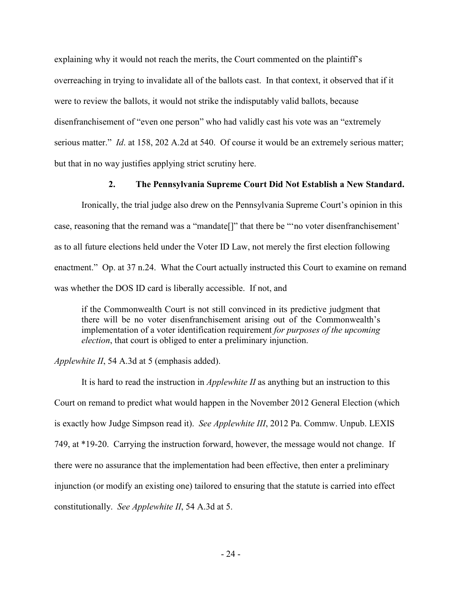explaining why it would not reach the merits, the Court commented on the plaintiff's overreaching in trying to invalidate all of the ballots cast. In that context, it observed that if it were to review the ballots, it would not strike the indisputably valid ballots, because disenfranchisement of "even one person" who had validly cast his vote was an "extremely serious matter." *Id*. at 158, 202 A.2d at 540. Of course it would be an extremely serious matter; but that in no way justifies applying strict scrutiny here.

### **2. The Pennsylvania Supreme Court Did Not Establish a New Standard.**

Ironically, the trial judge also drew on the Pennsylvania Supreme Court's opinion in this case, reasoning that the remand was a "mandate[]" that there be "'no voter disenfranchisement' as to all future elections held under the Voter ID Law, not merely the first election following enactment." Op. at 37 n.24. What the Court actually instructed this Court to examine on remand was whether the DOS ID card is liberally accessible. If not, and

if the Commonwealth Court is not still convinced in its predictive judgment that there will be no voter disenfranchisement arising out of the Commonwealth's implementation of a voter identification requirement *for purposes of the upcoming election*, that court is obliged to enter a preliminary injunction.

*Applewhite II*, 54 A.3d at 5 (emphasis added).

 It is hard to read the instruction in *Applewhite II* as anything but an instruction to this Court on remand to predict what would happen in the November 2012 General Election (which is exactly how Judge Simpson read it). *See Applewhite III*, 2012 Pa. Commw. Unpub. LEXIS 749, at \*19-20. Carrying the instruction forward, however, the message would not change. If there were no assurance that the implementation had been effective, then enter a preliminary injunction (or modify an existing one) tailored to ensuring that the statute is carried into effect constitutionally. *See Applewhite II*, 54 A.3d at 5.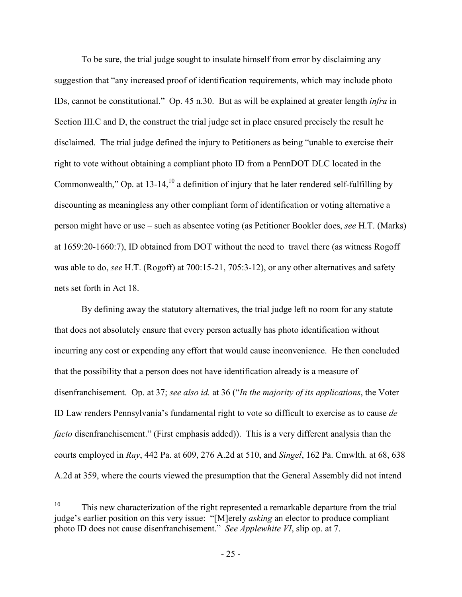To be sure, the trial judge sought to insulate himself from error by disclaiming any suggestion that "any increased proof of identification requirements, which may include photo IDs, cannot be constitutional." Op. 45 n.30. But as will be explained at greater length *infra* in Section III.C and D, the construct the trial judge set in place ensured precisely the result he disclaimed. The trial judge defined the injury to Petitioners as being "unable to exercise their right to vote without obtaining a compliant photo ID from a PennDOT DLC located in the Commonwealth," Op. at  $13-14$ ,  $^{10}$  a definition of injury that he later rendered self-fulfilling by discounting as meaningless any other compliant form of identification or voting alternative a person might have or use – such as absentee voting (as Petitioner Bookler does, *see* H.T. (Marks) at 1659:20-1660:7), ID obtained from DOT without the need to travel there (as witness Rogoff was able to do, *see* H.T. (Rogoff) at 700:15-21, 705:3-12), or any other alternatives and safety nets set forth in Act 18.

 By defining away the statutory alternatives, the trial judge left no room for any statute that does not absolutely ensure that every person actually has photo identification without incurring any cost or expending any effort that would cause inconvenience. He then concluded that the possibility that a person does not have identification already is a measure of disenfranchisement. Op. at 37; *see also id.* at 36 ("*In the majority of its applications*, the Voter ID Law renders Pennsylvania's fundamental right to vote so difficult to exercise as to cause *de facto* disenfranchisement." (First emphasis added)). This is a very different analysis than the courts employed in *Ray*, 442 Pa. at 609, 276 A.2d at 510, and *Singel*, 162 Pa. Cmwlth. at 68, 638 A.2d at 359, where the courts viewed the presumption that the General Assembly did not intend

<sup>10</sup> <sup>10</sup> This new characterization of the right represented a remarkable departure from the trial judge's earlier position on this very issue: "[M]erely *asking* an elector to produce compliant photo ID does not cause disenfranchisement." *See Applewhite VI*, slip op. at 7.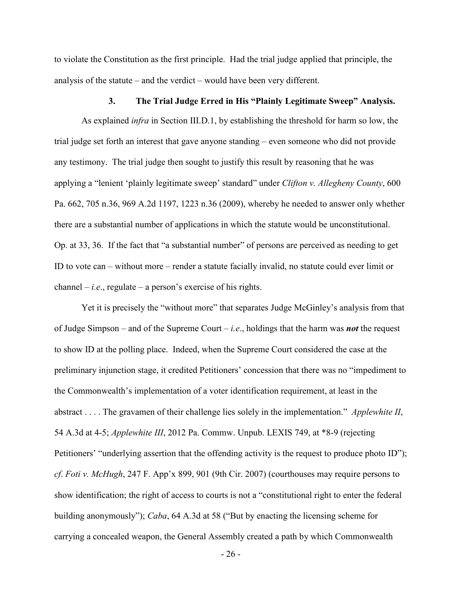to violate the Constitution as the first principle. Had the trial judge applied that principle, the analysis of the statute – and the verdict – would have been very different.

#### **3. The Trial Judge Erred in His "Plainly Legitimate Sweep" Analysis.**

 As explained *infra* in Section III.D.1, by establishing the threshold for harm so low, the trial judge set forth an interest that gave anyone standing – even someone who did not provide any testimony. The trial judge then sought to justify this result by reasoning that he was applying a "lenient 'plainly legitimate sweep' standard" under *Clifton v. Allegheny County*, 600 Pa. 662, 705 n.36, 969 A.2d 1197, 1223 n.36 (2009), whereby he needed to answer only whether there are a substantial number of applications in which the statute would be unconstitutional. Op. at 33, 36. If the fact that "a substantial number" of persons are perceived as needing to get ID to vote can – without more – render a statute facially invalid, no statute could ever limit or channel  $-i.e.,$  regulate  $-$  a person's exercise of his rights.

Yet it is precisely the "without more" that separates Judge McGinley's analysis from that of Judge Simpson – and of the Supreme Court – *i.e*., holdings that the harm was *not* the request to show ID at the polling place. Indeed, when the Supreme Court considered the case at the preliminary injunction stage, it credited Petitioners' concession that there was no "impediment to the Commonwealth's implementation of a voter identification requirement, at least in the abstract . . . . The gravamen of their challenge lies solely in the implementation." *Applewhite II*, 54 A.3d at 4-5; *Applewhite III*, 2012 Pa. Commw. Unpub. LEXIS 749, at \*8-9 (rejecting Petitioners' "underlying assertion that the offending activity is the request to produce photo ID"); *cf*. *Foti v. McHugh*, 247 F. App'x 899, 901 (9th Cir. 2007) (courthouses may require persons to show identification; the right of access to courts is not a "constitutional right to enter the federal building anonymously"); *Caba*, 64 A.3d at 58 ("But by enacting the licensing scheme for carrying a concealed weapon, the General Assembly created a path by which Commonwealth

- 26 -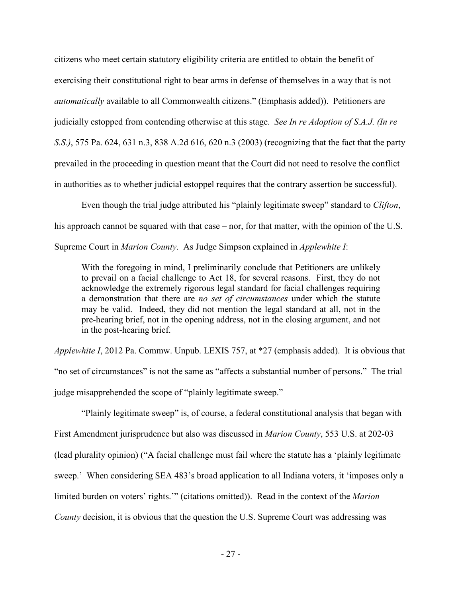citizens who meet certain statutory eligibility criteria are entitled to obtain the benefit of exercising their constitutional right to bear arms in defense of themselves in a way that is not *automatically* available to all Commonwealth citizens." (Emphasis added)). Petitioners are judicially estopped from contending otherwise at this stage. *See In re Adoption of S.A.J. (In re S.S.)*, 575 Pa. 624, 631 n.3, 838 A.2d 616, 620 n.3 (2003) (recognizing that the fact that the party prevailed in the proceeding in question meant that the Court did not need to resolve the conflict in authorities as to whether judicial estoppel requires that the contrary assertion be successful).

Even though the trial judge attributed his "plainly legitimate sweep" standard to *Clifton*, his approach cannot be squared with that case – nor, for that matter, with the opinion of the U.S. Supreme Court in *Marion County*. As Judge Simpson explained in *Applewhite I*:

With the foregoing in mind, I preliminarily conclude that Petitioners are unlikely to prevail on a facial challenge to Act 18, for several reasons. First, they do not acknowledge the extremely rigorous legal standard for facial challenges requiring a demonstration that there are *no set of circumstances* under which the statute may be valid. Indeed, they did not mention the legal standard at all, not in the pre-hearing brief, not in the opening address, not in the closing argument, and not in the post-hearing brief.

*Applewhite I*, 2012 Pa. Commw. Unpub. LEXIS 757, at \*27 (emphasis added). It is obvious that "no set of circumstances" is not the same as "affects a substantial number of persons." The trial judge misapprehended the scope of "plainly legitimate sweep."

"Plainly legitimate sweep" is, of course, a federal constitutional analysis that began with First Amendment jurisprudence but also was discussed in *Marion County*, 553 U.S. at 202-03 (lead plurality opinion) ("A facial challenge must fail where the statute has a 'plainly legitimate sweep.' When considering SEA 483's broad application to all Indiana voters, it 'imposes only a limited burden on voters' rights.'" (citations omitted)). Read in the context of the *Marion County* decision, it is obvious that the question the U.S. Supreme Court was addressing was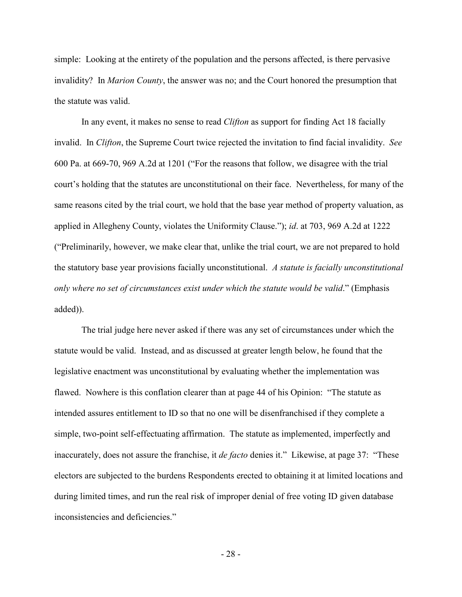simple: Looking at the entirety of the population and the persons affected, is there pervasive invalidity? In *Marion County*, the answer was no; and the Court honored the presumption that the statute was valid.

 In any event, it makes no sense to read *Clifton* as support for finding Act 18 facially invalid. In *Clifton*, the Supreme Court twice rejected the invitation to find facial invalidity. *See* 600 Pa. at 669-70, 969 A.2d at 1201 ("For the reasons that follow, we disagree with the trial court's holding that the statutes are unconstitutional on their face. Nevertheless, for many of the same reasons cited by the trial court, we hold that the base year method of property valuation, as applied in Allegheny County, violates the Uniformity Clause."); *id*. at 703, 969 A.2d at 1222 ("Preliminarily, however, we make clear that, unlike the trial court, we are not prepared to hold the statutory base year provisions facially unconstitutional. *A statute is facially unconstitutional only where no set of circumstances exist under which the statute would be valid*." (Emphasis added)).

 The trial judge here never asked if there was any set of circumstances under which the statute would be valid. Instead, and as discussed at greater length below, he found that the legislative enactment was unconstitutional by evaluating whether the implementation was flawed. Nowhere is this conflation clearer than at page 44 of his Opinion: "The statute as intended assures entitlement to ID so that no one will be disenfranchised if they complete a simple, two-point self-effectuating affirmation. The statute as implemented, imperfectly and inaccurately, does not assure the franchise, it *de facto* denies it." Likewise, at page 37: "These electors are subjected to the burdens Respondents erected to obtaining it at limited locations and during limited times, and run the real risk of improper denial of free voting ID given database inconsistencies and deficiencies."

- 28 -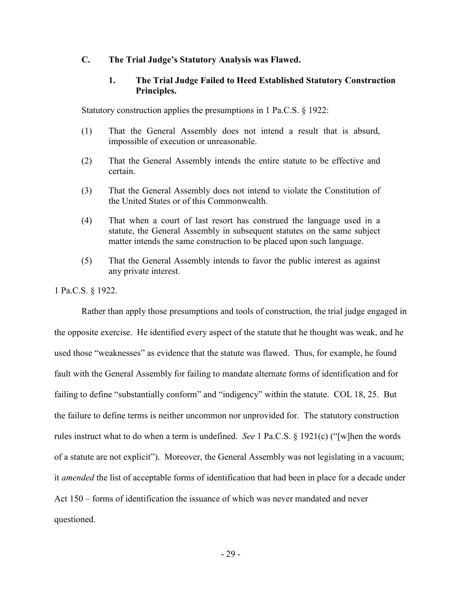### **C. The Trial Judge's Statutory Analysis was Flawed.**

## **1. The Trial Judge Failed to Heed Established Statutory Construction Principles.**

Statutory construction applies the presumptions in 1 Pa.C.S. § 1922:

- (1) That the General Assembly does not intend a result that is absurd, impossible of execution or unreasonable.
- (2) That the General Assembly intends the entire statute to be effective and certain.
- (3) That the General Assembly does not intend to violate the Constitution of the United States or of this Commonwealth.
- (4) That when a court of last resort has construed the language used in a statute, the General Assembly in subsequent statutes on the same subject matter intends the same construction to be placed upon such language.
- (5) That the General Assembly intends to favor the public interest as against any private interest.

1 Pa.C.S. § 1922.

 Rather than apply those presumptions and tools of construction, the trial judge engaged in the opposite exercise. He identified every aspect of the statute that he thought was weak, and he used those "weaknesses" as evidence that the statute was flawed. Thus, for example, he found fault with the General Assembly for failing to mandate alternate forms of identification and for failing to define "substantially conform" and "indigency" within the statute. COL 18, 25. But the failure to define terms is neither uncommon nor unprovided for. The statutory construction rules instruct what to do when a term is undefined. *See* 1 Pa.C.S. § 1921(c) ("[w]hen the words of a statute are not explicit"). Moreover, the General Assembly was not legislating in a vacuum; it *amended* the list of acceptable forms of identification that had been in place for a decade under Act 150 – forms of identification the issuance of which was never mandated and never questioned.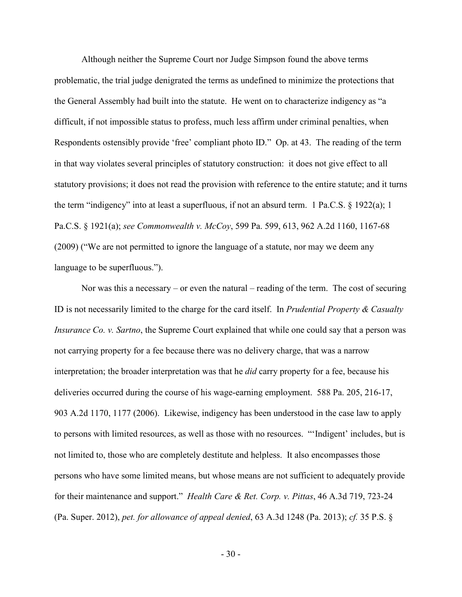Although neither the Supreme Court nor Judge Simpson found the above terms problematic, the trial judge denigrated the terms as undefined to minimize the protections that the General Assembly had built into the statute. He went on to characterize indigency as "a difficult, if not impossible status to profess, much less affirm under criminal penalties, when Respondents ostensibly provide 'free' compliant photo ID." Op. at 43. The reading of the term in that way violates several principles of statutory construction: it does not give effect to all statutory provisions; it does not read the provision with reference to the entire statute; and it turns the term "indigency" into at least a superfluous, if not an absurd term. 1 Pa.C.S. § 1922(a); 1 Pa.C.S. § 1921(a); *see Commonwealth v. McCoy*, 599 Pa. 599, 613, 962 A.2d 1160, 1167-68 (2009) ("We are not permitted to ignore the language of a statute, nor may we deem any language to be superfluous.").

 Nor was this a necessary – or even the natural – reading of the term. The cost of securing ID is not necessarily limited to the charge for the card itself. In *Prudential Property & Casualty Insurance Co. v. Sartno*, the Supreme Court explained that while one could say that a person was not carrying property for a fee because there was no delivery charge, that was a narrow interpretation; the broader interpretation was that he *did* carry property for a fee, because his deliveries occurred during the course of his wage-earning employment. 588 Pa. 205, 216-17, 903 A.2d 1170, 1177 (2006). Likewise, indigency has been understood in the case law to apply to persons with limited resources, as well as those with no resources. "'Indigent' includes, but is not limited to, those who are completely destitute and helpless. It also encompasses those persons who have some limited means, but whose means are not sufficient to adequately provide for their maintenance and support." *Health Care & Ret. Corp. v. Pittas*, 46 A.3d 719, 723-24 (Pa. Super. 2012), *pet. for allowance of appeal denied*, 63 A.3d 1248 (Pa. 2013); *cf.* 35 P.S. §

- 30 -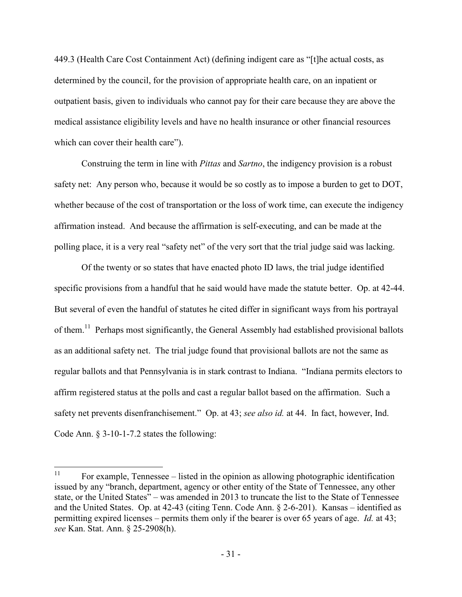449.3 (Health Care Cost Containment Act) (defining indigent care as "[t]he actual costs, as determined by the council, for the provision of appropriate health care, on an inpatient or outpatient basis, given to individuals who cannot pay for their care because they are above the medical assistance eligibility levels and have no health insurance or other financial resources which can cover their health care").

Construing the term in line with *Pittas* and *Sartno*, the indigency provision is a robust safety net: Any person who, because it would be so costly as to impose a burden to get to DOT, whether because of the cost of transportation or the loss of work time, can execute the indigency affirmation instead. And because the affirmation is self-executing, and can be made at the polling place, it is a very real "safety net" of the very sort that the trial judge said was lacking.

Of the twenty or so states that have enacted photo ID laws, the trial judge identified specific provisions from a handful that he said would have made the statute better. Op. at 42-44. But several of even the handful of statutes he cited differ in significant ways from his portrayal of them.<sup>11</sup> Perhaps most significantly, the General Assembly had established provisional ballots as an additional safety net. The trial judge found that provisional ballots are not the same as regular ballots and that Pennsylvania is in stark contrast to Indiana. "Indiana permits electors to affirm registered status at the polls and cast a regular ballot based on the affirmation. Such a safety net prevents disenfranchisement." Op. at 43; *see also id.* at 44. In fact, however, Ind. Code Ann. § 3-10-1-7.2 states the following:

 $11$ <sup>11</sup> For example, Tennessee – listed in the opinion as allowing photographic identification issued by any "branch, department, agency or other entity of the State of Tennessee, any other state, or the United States" – was amended in 2013 to truncate the list to the State of Tennessee and the United States. Op. at 42-43 (citing Tenn. Code Ann. § 2-6-201). Kansas – identified as permitting expired licenses – permits them only if the bearer is over 65 years of age. *Id.* at 43; *see* Kan. Stat. Ann. § 25-2908(h).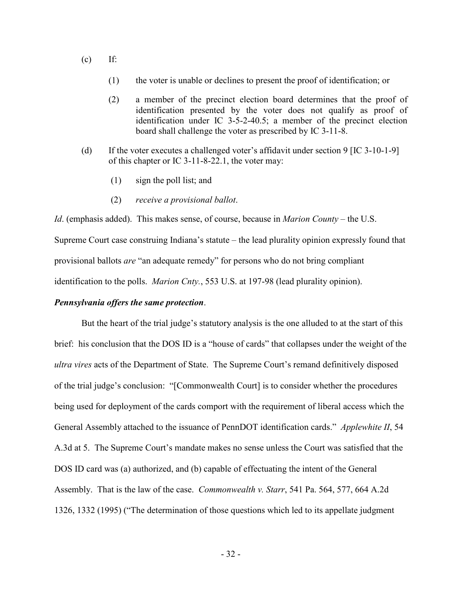- $(c)$  If:
	- (1) the voter is unable or declines to present the proof of identification; or
	- (2) a member of the precinct election board determines that the proof of identification presented by the voter does not qualify as proof of identification under IC 3-5-2-40.5; a member of the precinct election board shall challenge the voter as prescribed by IC 3-11-8.
- (d) If the voter executes a challenged voter's affidavit under section 9 [IC 3-10-1-9] of this chapter or IC 3-11-8-22.1, the voter may:
	- (1) sign the poll list; and
	- (2) *receive a provisional ballot*.

*Id*. (emphasis added). This makes sense, of course, because in *Marion County* – the U.S.

Supreme Court case construing Indiana's statute – the lead plurality opinion expressly found that provisional ballots *are* "an adequate remedy" for persons who do not bring compliant identification to the polls. *Marion Cnty.*, 553 U.S. at 197-98 (lead plurality opinion).

### *Pennsylvania offers the same protection*.

 But the heart of the trial judge's statutory analysis is the one alluded to at the start of this brief: his conclusion that the DOS ID is a "house of cards" that collapses under the weight of the *ultra vires* acts of the Department of State. The Supreme Court's remand definitively disposed of the trial judge's conclusion: "[Commonwealth Court] is to consider whether the procedures being used for deployment of the cards comport with the requirement of liberal access which the General Assembly attached to the issuance of PennDOT identification cards." *Applewhite II*, 54 A.3d at 5. The Supreme Court's mandate makes no sense unless the Court was satisfied that the DOS ID card was (a) authorized, and (b) capable of effectuating the intent of the General Assembly. That is the law of the case. *Commonwealth v. Starr*, 541 Pa. 564, 577, 664 A.2d 1326, 1332 (1995) ("The determination of those questions which led to its appellate judgment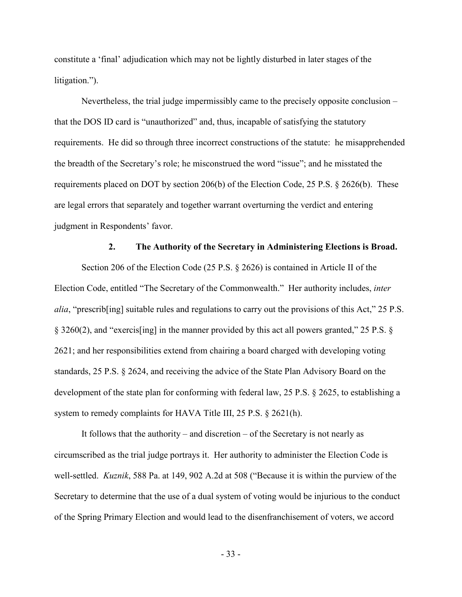constitute a 'final' adjudication which may not be lightly disturbed in later stages of the litigation.").

 Nevertheless, the trial judge impermissibly came to the precisely opposite conclusion – that the DOS ID card is "unauthorized" and, thus, incapable of satisfying the statutory requirements. He did so through three incorrect constructions of the statute: he misapprehended the breadth of the Secretary's role; he misconstrued the word "issue"; and he misstated the requirements placed on DOT by section 206(b) of the Election Code, 25 P.S. § 2626(b). These are legal errors that separately and together warrant overturning the verdict and entering judgment in Respondents' favor.

## **2. The Authority of the Secretary in Administering Elections is Broad.**

Section 206 of the Election Code (25 P.S. § 2626) is contained in Article II of the Election Code, entitled "The Secretary of the Commonwealth." Her authority includes, *inter alia*, "prescrib[ing] suitable rules and regulations to carry out the provisions of this Act," 25 P.S. § 3260(2), and "exercis[ing] in the manner provided by this act all powers granted," 25 P.S. § 2621; and her responsibilities extend from chairing a board charged with developing voting standards, 25 P.S. § 2624, and receiving the advice of the State Plan Advisory Board on the development of the state plan for conforming with federal law, 25 P.S. § 2625, to establishing a system to remedy complaints for HAVA Title III, 25 P.S. § 2621(h).

It follows that the authority – and discretion – of the Secretary is not nearly as circumscribed as the trial judge portrays it. Her authority to administer the Election Code is well-settled. *Kuznik*, 588 Pa. at 149, 902 A.2d at 508 ("Because it is within the purview of the Secretary to determine that the use of a dual system of voting would be injurious to the conduct of the Spring Primary Election and would lead to the disenfranchisement of voters, we accord

- 33 -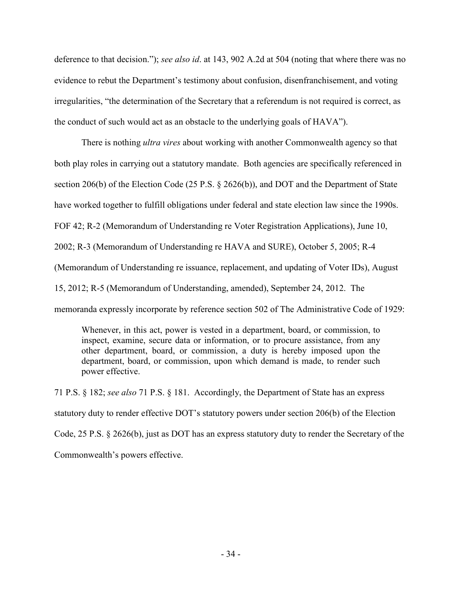deference to that decision."); *see also id*. at 143, 902 A.2d at 504 (noting that where there was no evidence to rebut the Department's testimony about confusion, disenfranchisement, and voting irregularities, "the determination of the Secretary that a referendum is not required is correct, as the conduct of such would act as an obstacle to the underlying goals of HAVA").

There is nothing *ultra vires* about working with another Commonwealth agency so that both play roles in carrying out a statutory mandate. Both agencies are specifically referenced in section 206(b) of the Election Code (25 P.S. § 2626(b)), and DOT and the Department of State have worked together to fulfill obligations under federal and state election law since the 1990s. FOF 42; R-2 (Memorandum of Understanding re Voter Registration Applications), June 10, 2002; R-3 (Memorandum of Understanding re HAVA and SURE), October 5, 2005; R-4 (Memorandum of Understanding re issuance, replacement, and updating of Voter IDs), August 15, 2012; R-5 (Memorandum of Understanding, amended), September 24, 2012. The memoranda expressly incorporate by reference section 502 of The Administrative Code of 1929:

Whenever, in this act, power is vested in a department, board, or commission, to inspect, examine, secure data or information, or to procure assistance, from any other department, board, or commission, a duty is hereby imposed upon the department, board, or commission, upon which demand is made, to render such power effective.

71 P.S. § 182; *see also* 71 P.S. § 181. Accordingly, the Department of State has an express statutory duty to render effective DOT's statutory powers under section 206(b) of the Election Code, 25 P.S. § 2626(b), just as DOT has an express statutory duty to render the Secretary of the Commonwealth's powers effective.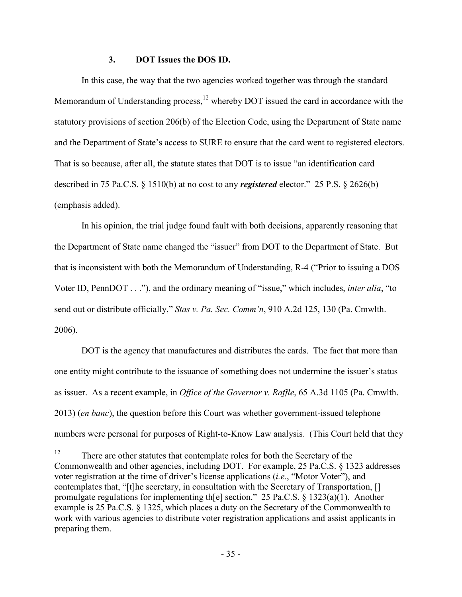## **3. DOT Issues the DOS ID.**

 In this case, the way that the two agencies worked together was through the standard Memorandum of Understanding process, $12$  whereby DOT issued the card in accordance with the statutory provisions of section 206(b) of the Election Code, using the Department of State name and the Department of State's access to SURE to ensure that the card went to registered electors. That is so because, after all, the statute states that DOT is to issue "an identification card described in 75 Pa.C.S. § 1510(b) at no cost to any *registered* elector." 25 P.S. § 2626(b) (emphasis added).

 In his opinion, the trial judge found fault with both decisions, apparently reasoning that the Department of State name changed the "issuer" from DOT to the Department of State. But that is inconsistent with both the Memorandum of Understanding, R-4 ("Prior to issuing a DOS Voter ID, PennDOT . . ."), and the ordinary meaning of "issue," which includes, *inter alia*, "to send out or distribute officially," *Stas v. Pa. Sec. Comm'n*, 910 A.2d 125, 130 (Pa. Cmwlth. 2006).

 DOT is the agency that manufactures and distributes the cards. The fact that more than one entity might contribute to the issuance of something does not undermine the issuer's status as issuer. As a recent example, in *Office of the Governor v. Raffle*, 65 A.3d 1105 (Pa. Cmwlth. 2013) (*en banc*), the question before this Court was whether government-issued telephone numbers were personal for purposes of Right-to-Know Law analysis. (This Court held that they

 $12$ There are other statutes that contemplate roles for both the Secretary of the Commonwealth and other agencies, including DOT. For example, 25 Pa.C.S. § 1323 addresses voter registration at the time of driver's license applications (*i.e.*, "Motor Voter"), and contemplates that, "[t]he secretary, in consultation with the Secretary of Transportation, [] promulgate regulations for implementing th[e] section." 25 Pa.C.S. § 1323(a)(1). Another example is 25 Pa.C.S. § 1325, which places a duty on the Secretary of the Commonwealth to work with various agencies to distribute voter registration applications and assist applicants in preparing them.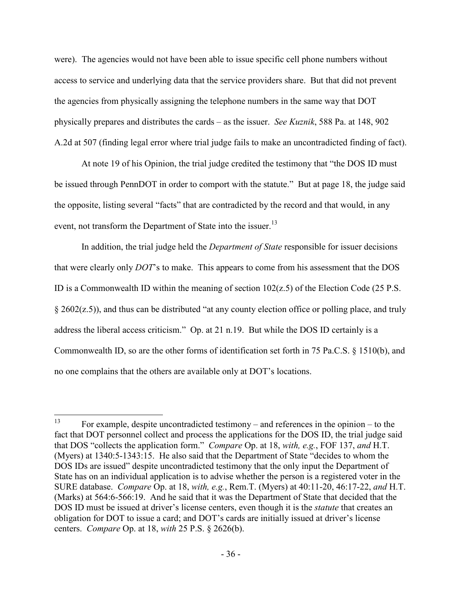were). The agencies would not have been able to issue specific cell phone numbers without access to service and underlying data that the service providers share. But that did not prevent the agencies from physically assigning the telephone numbers in the same way that DOT physically prepares and distributes the cards – as the issuer. *See Kuznik*, 588 Pa. at 148, 902 A.2d at 507 (finding legal error where trial judge fails to make an uncontradicted finding of fact).

 At note 19 of his Opinion, the trial judge credited the testimony that "the DOS ID must be issued through PennDOT in order to comport with the statute." But at page 18, the judge said the opposite, listing several "facts" that are contradicted by the record and that would, in any event, not transform the Department of State into the issuer.<sup>13</sup>

 In addition, the trial judge held the *Department of State* responsible for issuer decisions that were clearly only *DOT*'s to make. This appears to come from his assessment that the DOS ID is a Commonwealth ID within the meaning of section  $102(z, 5)$  of the Election Code (25 P.S. § 2602(z.5)), and thus can be distributed "at any county election office or polling place, and truly address the liberal access criticism." Op. at 21 n.19. But while the DOS ID certainly is a Commonwealth ID, so are the other forms of identification set forth in 75 Pa.C.S. § 1510(b), and no one complains that the others are available only at DOT's locations.

<sup>13</sup> <sup>13</sup> For example, despite uncontradicted testimony – and references in the opinion – to the fact that DOT personnel collect and process the applications for the DOS ID, the trial judge said that DOS "collects the application form." *Compare* Op. at 18, *with, e.g.*, FOF 137, *and* H.T. (Myers) at 1340:5-1343:15. He also said that the Department of State "decides to whom the DOS IDs are issued" despite uncontradicted testimony that the only input the Department of State has on an individual application is to advise whether the person is a registered voter in the SURE database. *Compare* Op. at 18, *with, e.g.*, Rem.T. (Myers) at 40:11-20, 46:17-22, *and* H.T. (Marks) at 564:6-566:19. And he said that it was the Department of State that decided that the DOS ID must be issued at driver's license centers, even though it is the *statute* that creates an obligation for DOT to issue a card; and DOT's cards are initially issued at driver's license centers. *Compare* Op. at 18, *with* 25 P.S. § 2626(b).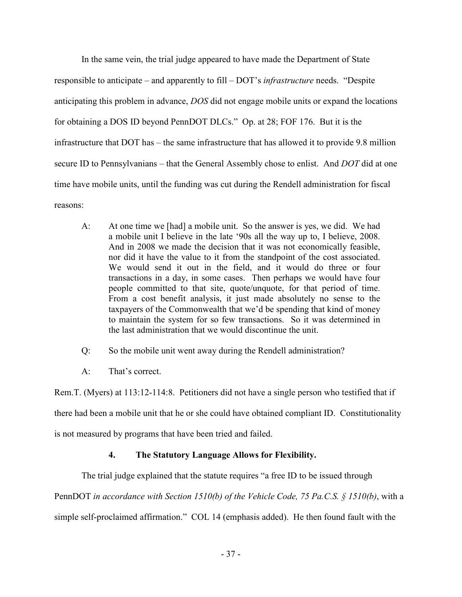In the same vein, the trial judge appeared to have made the Department of State responsible to anticipate – and apparently to fill – DOT's *infrastructure* needs. "Despite anticipating this problem in advance, *DOS* did not engage mobile units or expand the locations for obtaining a DOS ID beyond PennDOT DLCs." Op. at 28; FOF 176. But it is the infrastructure that DOT has – the same infrastructure that has allowed it to provide 9.8 million secure ID to Pennsylvanians – that the General Assembly chose to enlist. And *DOT* did at one time have mobile units, until the funding was cut during the Rendell administration for fiscal reasons:

A: At one time we [had] a mobile unit. So the answer is yes, we did. We had a mobile unit I believe in the late '90s all the way up to, I believe, 2008. And in 2008 we made the decision that it was not economically feasible, nor did it have the value to it from the standpoint of the cost associated. We would send it out in the field, and it would do three or four transactions in a day, in some cases. Then perhaps we would have four people committed to that site, quote/unquote, for that period of time. From a cost benefit analysis, it just made absolutely no sense to the taxpayers of the Commonwealth that we'd be spending that kind of money to maintain the system for so few transactions. So it was determined in the last administration that we would discontinue the unit.

Q: So the mobile unit went away during the Rendell administration?

A: That's correct.

Rem.T. (Myers) at 113:12-114:8. Petitioners did not have a single person who testified that if there had been a mobile unit that he or she could have obtained compliant ID. Constitutionality is not measured by programs that have been tried and failed.

## **4. The Statutory Language Allows for Flexibility.**

The trial judge explained that the statute requires "a free ID to be issued through

PennDOT *in accordance with Section 1510(b) of the Vehicle Code, 75 Pa.C.S. § 1510(b)*, with a simple self-proclaimed affirmation." COL 14 (emphasis added). He then found fault with the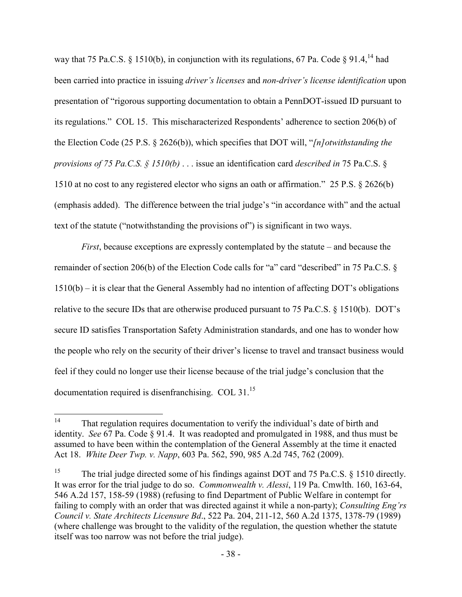way that 75 Pa.C.S. § 1510(b), in conjunction with its regulations, 67 Pa. Code § 91.4, <sup>14</sup> had been carried into practice in issuing *driver's licenses* and *non-driver's license identification* upon presentation of "rigorous supporting documentation to obtain a PennDOT-issued ID pursuant to its regulations." COL 15. This mischaracterized Respondents' adherence to section 206(b) of the Election Code (25 P.S. § 2626(b)), which specifies that DOT will, "*[n]otwithstanding the provisions of 75 Pa.C.S. § 1510(b)* . . . issue an identification card *described in* 75 Pa.C.S. § 1510 at no cost to any registered elector who signs an oath or affirmation." 25 P.S. § 2626(b) (emphasis added). The difference between the trial judge's "in accordance with" and the actual text of the statute ("notwithstanding the provisions of") is significant in two ways.

*First*, because exceptions are expressly contemplated by the statute – and because the remainder of section 206(b) of the Election Code calls for "a" card "described" in 75 Pa.C.S. § 1510(b) – it is clear that the General Assembly had no intention of affecting DOT's obligations relative to the secure IDs that are otherwise produced pursuant to 75 Pa.C.S. § 1510(b). DOT's secure ID satisfies Transportation Safety Administration standards, and one has to wonder how the people who rely on the security of their driver's license to travel and transact business would feel if they could no longer use their license because of the trial judge's conclusion that the documentation required is disenfranchising. COL 31.<sup>15</sup>

 $14$ That regulation requires documentation to verify the individual's date of birth and identity. *See* 67 Pa. Code § 91.4. It was readopted and promulgated in 1988, and thus must be assumed to have been within the contemplation of the General Assembly at the time it enacted Act 18. *White Deer Twp. v. Napp*, 603 Pa. 562, 590, 985 A.2d 745, 762 (2009).

<sup>&</sup>lt;sup>15</sup> The trial judge directed some of his findings against DOT and 75 Pa.C.S.  $\S$  1510 directly. It was error for the trial judge to do so. *Commonwealth v. Alessi*, 119 Pa. Cmwlth. 160, 163-64, 546 A.2d 157, 158-59 (1988) (refusing to find Department of Public Welfare in contempt for failing to comply with an order that was directed against it while a non-party); *Consulting Eng'rs Council v. State Architects Licensure Bd*., 522 Pa. 204, 211-12, 560 A.2d 1375, 1378-79 (1989) (where challenge was brought to the validity of the regulation, the question whether the statute itself was too narrow was not before the trial judge).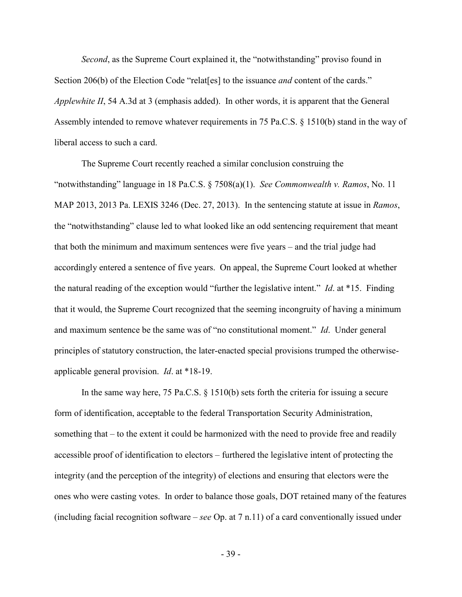*Second*, as the Supreme Court explained it, the "notwithstanding" proviso found in Section 206(b) of the Election Code "relat[es] to the issuance *and* content of the cards." *Applewhite II*, 54 A.3d at 3 (emphasis added). In other words, it is apparent that the General Assembly intended to remove whatever requirements in 75 Pa.C.S. § 1510(b) stand in the way of liberal access to such a card.

The Supreme Court recently reached a similar conclusion construing the "notwithstanding" language in 18 Pa.C.S. § 7508(a)(1). *See Commonwealth v. Ramos*, No. 11 MAP 2013, 2013 Pa. LEXIS 3246 (Dec. 27, 2013). In the sentencing statute at issue in *Ramos*, the "notwithstanding" clause led to what looked like an odd sentencing requirement that meant that both the minimum and maximum sentences were five years – and the trial judge had accordingly entered a sentence of five years. On appeal, the Supreme Court looked at whether the natural reading of the exception would "further the legislative intent." *Id*. at \*15. Finding that it would, the Supreme Court recognized that the seeming incongruity of having a minimum and maximum sentence be the same was of "no constitutional moment." *Id*. Under general principles of statutory construction, the later-enacted special provisions trumped the otherwiseapplicable general provision. *Id*. at \*18-19.

In the same way here, 75 Pa.C.S. § 1510(b) sets forth the criteria for issuing a secure form of identification, acceptable to the federal Transportation Security Administration, something that – to the extent it could be harmonized with the need to provide free and readily accessible proof of identification to electors – furthered the legislative intent of protecting the integrity (and the perception of the integrity) of elections and ensuring that electors were the ones who were casting votes. In order to balance those goals, DOT retained many of the features (including facial recognition software – *see* Op. at 7 n.11) of a card conventionally issued under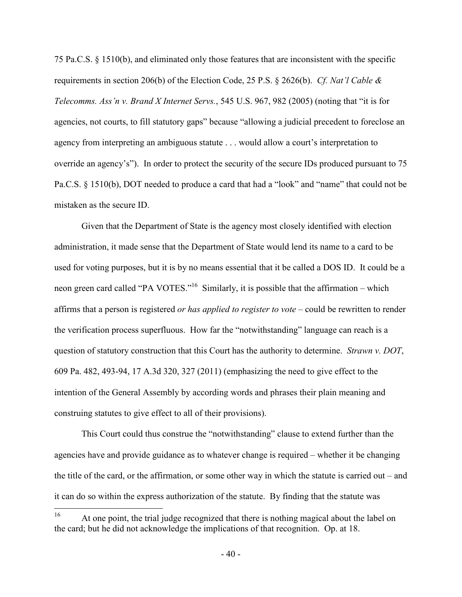75 Pa.C.S. § 1510(b), and eliminated only those features that are inconsistent with the specific requirements in section 206(b) of the Election Code, 25 P.S. § 2626(b). *Cf. Nat'l Cable & Telecomms. Ass'n v. Brand X Internet Servs.*, 545 U.S. 967, 982 (2005) (noting that "it is for agencies, not courts, to fill statutory gaps" because "allowing a judicial precedent to foreclose an agency from interpreting an ambiguous statute . . . would allow a court's interpretation to override an agency's"). In order to protect the security of the secure IDs produced pursuant to 75 Pa.C.S. § 1510(b), DOT needed to produce a card that had a "look" and "name" that could not be mistaken as the secure ID.

Given that the Department of State is the agency most closely identified with election administration, it made sense that the Department of State would lend its name to a card to be used for voting purposes, but it is by no means essential that it be called a DOS ID. It could be a neon green card called "PA VOTES."<sup>16</sup> Similarly, it is possible that the affirmation – which affirms that a person is registered *or has applied to register to vote* – could be rewritten to render the verification process superfluous. How far the "notwithstanding" language can reach is a question of statutory construction that this Court has the authority to determine. *Strawn v. DOT*, 609 Pa. 482, 493-94, 17 A.3d 320, 327 (2011) (emphasizing the need to give effect to the intention of the General Assembly by according words and phrases their plain meaning and construing statutes to give effect to all of their provisions).

This Court could thus construe the "notwithstanding" clause to extend further than the agencies have and provide guidance as to whatever change is required – whether it be changing the title of the card, or the affirmation, or some other way in which the statute is carried out – and it can do so within the express authorization of the statute. By finding that the statute was

<sup>16</sup> At one point, the trial judge recognized that there is nothing magical about the label on the card; but he did not acknowledge the implications of that recognition. Op. at 18.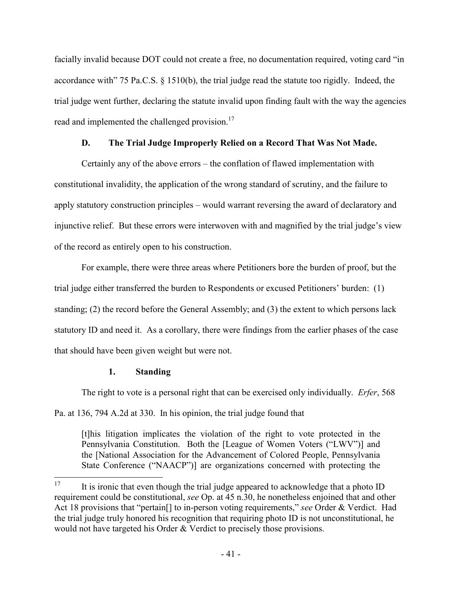facially invalid because DOT could not create a free, no documentation required, voting card "in accordance with" 75 Pa.C.S. § 1510(b), the trial judge read the statute too rigidly. Indeed, the trial judge went further, declaring the statute invalid upon finding fault with the way the agencies read and implemented the challenged provision.<sup>17</sup>

# **D. The Trial Judge Improperly Relied on a Record That Was Not Made.**

 Certainly any of the above errors – the conflation of flawed implementation with constitutional invalidity, the application of the wrong standard of scrutiny, and the failure to apply statutory construction principles – would warrant reversing the award of declaratory and injunctive relief. But these errors were interwoven with and magnified by the trial judge's view of the record as entirely open to his construction.

 For example, there were three areas where Petitioners bore the burden of proof, but the trial judge either transferred the burden to Respondents or excused Petitioners' burden: (1) standing; (2) the record before the General Assembly; and (3) the extent to which persons lack statutory ID and need it. As a corollary, there were findings from the earlier phases of the case that should have been given weight but were not.

# **1. Standing**

 The right to vote is a personal right that can be exercised only individually. *Erfer*, 568 Pa. at 136, 794 A.2d at 330. In his opinion, the trial judge found that

[t]his litigation implicates the violation of the right to vote protected in the Pennsylvania Constitution. Both the [League of Women Voters ("LWV")] and the [National Association for the Advancement of Colored People, Pennsylvania State Conference ("NAACP")] are organizations concerned with protecting the

<sup>17</sup> <sup>17</sup> It is ironic that even though the trial judge appeared to acknowledge that a photo ID requirement could be constitutional, *see* Op. at 45 n.30, he nonetheless enjoined that and other Act 18 provisions that "pertain[] to in-person voting requirements," *see* Order & Verdict. Had the trial judge truly honored his recognition that requiring photo ID is not unconstitutional, he would not have targeted his Order & Verdict to precisely those provisions.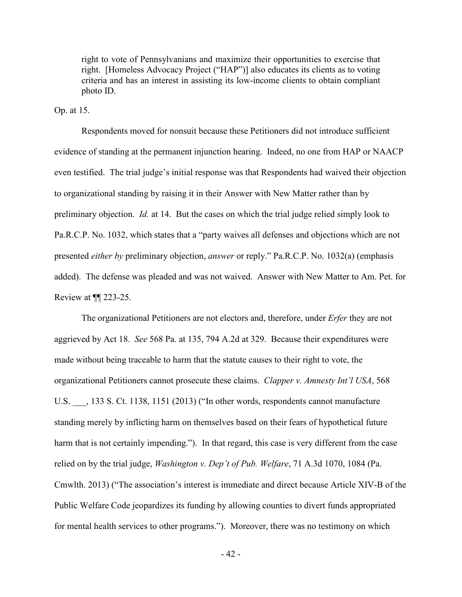right to vote of Pennsylvanians and maximize their opportunities to exercise that right. [Homeless Advocacy Project ("HAP")] also educates its clients as to voting criteria and has an interest in assisting its low-income clients to obtain compliant photo ID.

Op. at 15.

 Respondents moved for nonsuit because these Petitioners did not introduce sufficient evidence of standing at the permanent injunction hearing. Indeed, no one from HAP or NAACP even testified. The trial judge's initial response was that Respondents had waived their objection to organizational standing by raising it in their Answer with New Matter rather than by preliminary objection. *Id.* at 14. But the cases on which the trial judge relied simply look to Pa.R.C.P. No. 1032, which states that a "party waives all defenses and objections which are not presented *either by* preliminary objection, *answer* or reply." Pa.R.C.P. No. 1032(a) (emphasis added). The defense was pleaded and was not waived. Answer with New Matter to Am. Pet. for Review at ¶¶ 223-25.

 The organizational Petitioners are not electors and, therefore, under *Erfer* they are not aggrieved by Act 18. *See* 568 Pa. at 135, 794 A.2d at 329. Because their expenditures were made without being traceable to harm that the statute causes to their right to vote, the organizational Petitioners cannot prosecute these claims. *Clapper v. Amnesty Int'l USA*, 568 U.S.  $\ldots$ , 133 S. Ct. 1138, 1151 (2013) ("In other words, respondents cannot manufacture standing merely by inflicting harm on themselves based on their fears of hypothetical future harm that is not certainly impending."). In that regard, this case is very different from the case relied on by the trial judge, *Washington v. Dep't of Pub. Welfare*, 71 A.3d 1070, 1084 (Pa. Cmwlth. 2013) ("The association's interest is immediate and direct because Article XIV-B of the Public Welfare Code jeopardizes its funding by allowing counties to divert funds appropriated for mental health services to other programs."). Moreover, there was no testimony on which

- 42 -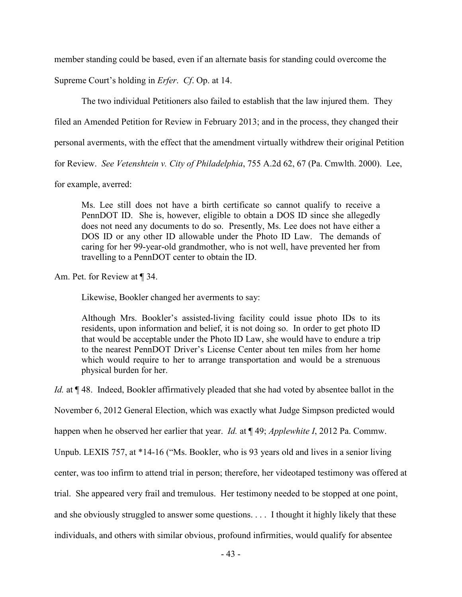member standing could be based, even if an alternate basis for standing could overcome the

Supreme Court's holding in *Erfer*. *Cf*. Op. at 14.

The two individual Petitioners also failed to establish that the law injured them. They

filed an Amended Petition for Review in February 2013; and in the process, they changed their

personal averments, with the effect that the amendment virtually withdrew their original Petition

for Review. *See Vetenshtein v. City of Philadelphia*, 755 A.2d 62, 67 (Pa. Cmwlth. 2000). Lee,

for example, averred:

Ms. Lee still does not have a birth certificate so cannot qualify to receive a PennDOT ID. She is, however, eligible to obtain a DOS ID since she allegedly does not need any documents to do so. Presently, Ms. Lee does not have either a DOS ID or any other ID allowable under the Photo ID Law. The demands of caring for her 99-year-old grandmother, who is not well, have prevented her from travelling to a PennDOT center to obtain the ID.

Am. Pet. for Review at ¶ 34.

Likewise, Bookler changed her averments to say:

Although Mrs. Bookler's assisted-living facility could issue photo IDs to its residents, upon information and belief, it is not doing so. In order to get photo ID that would be acceptable under the Photo ID Law, she would have to endure a trip to the nearest PennDOT Driver's License Center about ten miles from her home which would require to her to arrange transportation and would be a strenuous physical burden for her.

*Id.* at ¶ 48. Indeed, Bookler affirmatively pleaded that she had voted by absentee ballot in the

November 6, 2012 General Election, which was exactly what Judge Simpson predicted would

happen when he observed her earlier that year. *Id.* at ¶ 49; *Applewhite I*, 2012 Pa. Commw.

Unpub. LEXIS 757, at \*14-16 ("Ms. Bookler, who is 93 years old and lives in a senior living

center, was too infirm to attend trial in person; therefore, her videotaped testimony was offered at

trial. She appeared very frail and tremulous. Her testimony needed to be stopped at one point,

and she obviously struggled to answer some questions. . . . I thought it highly likely that these

individuals, and others with similar obvious, profound infirmities, would qualify for absentee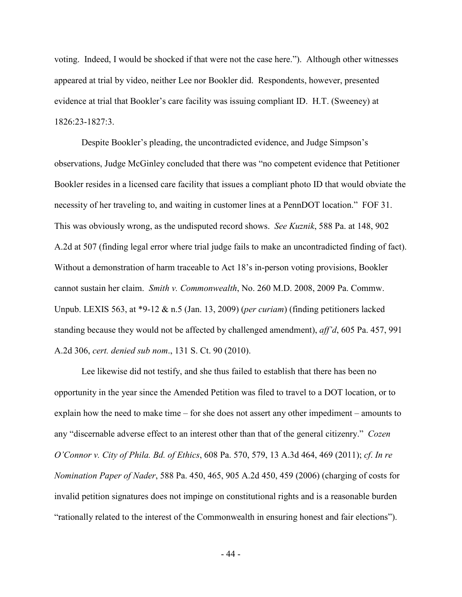voting. Indeed, I would be shocked if that were not the case here."). Although other witnesses appeared at trial by video, neither Lee nor Bookler did. Respondents, however, presented evidence at trial that Bookler's care facility was issuing compliant ID. H.T. (Sweeney) at 1826:23-1827:3.

Despite Bookler's pleading, the uncontradicted evidence, and Judge Simpson's observations, Judge McGinley concluded that there was "no competent evidence that Petitioner Bookler resides in a licensed care facility that issues a compliant photo ID that would obviate the necessity of her traveling to, and waiting in customer lines at a PennDOT location." FOF 31. This was obviously wrong, as the undisputed record shows. *See Kuznik*, 588 Pa. at 148, 902 A.2d at 507 (finding legal error where trial judge fails to make an uncontradicted finding of fact). Without a demonstration of harm traceable to Act 18's in-person voting provisions, Bookler cannot sustain her claim. *Smith v. Commonwealth*, No. 260 M.D. 2008, 2009 Pa. Commw. Unpub. LEXIS 563, at \*9-12 & n.5 (Jan. 13, 2009) (*per curiam*) (finding petitioners lacked standing because they would not be affected by challenged amendment), *aff'd*, 605 Pa. 457, 991 A.2d 306, *cert. denied sub nom*., 131 S. Ct. 90 (2010).

Lee likewise did not testify, and she thus failed to establish that there has been no opportunity in the year since the Amended Petition was filed to travel to a DOT location, or to explain how the need to make time – for she does not assert any other impediment – amounts to any "discernable adverse effect to an interest other than that of the general citizenry." *Cozen O'Connor v. City of Phila. Bd. of Ethics*, 608 Pa. 570, 579, 13 A.3d 464, 469 (2011); *cf*. *In re Nomination Paper of Nader*, 588 Pa. 450, 465, 905 A.2d 450, 459 (2006) (charging of costs for invalid petition signatures does not impinge on constitutional rights and is a reasonable burden "rationally related to the interest of the Commonwealth in ensuring honest and fair elections").

- 44 -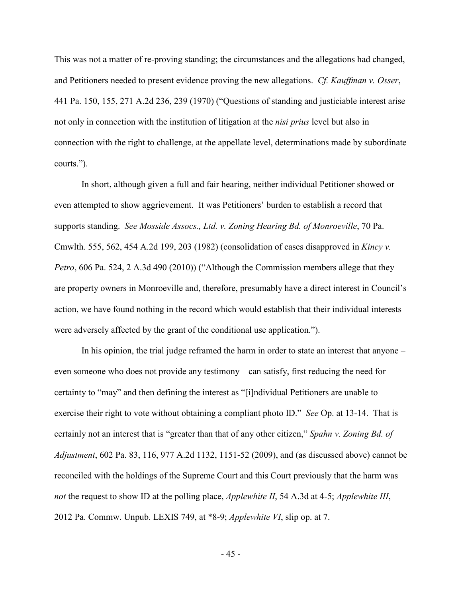This was not a matter of re-proving standing; the circumstances and the allegations had changed, and Petitioners needed to present evidence proving the new allegations. *Cf. Kauffman v. Osser*, 441 Pa. 150, 155, 271 A.2d 236, 239 (1970) ("Questions of standing and justiciable interest arise not only in connection with the institution of litigation at the *nisi prius* level but also in connection with the right to challenge, at the appellate level, determinations made by subordinate courts.").

In short, although given a full and fair hearing, neither individual Petitioner showed or even attempted to show aggrievement. It was Petitioners' burden to establish a record that supports standing. *See Mosside Assocs., Ltd. v. Zoning Hearing Bd. of Monroeville*, 70 Pa. Cmwlth. 555, 562, 454 A.2d 199, 203 (1982) (consolidation of cases disapproved in *Kincy v. Petro*, 606 Pa. 524, 2 A.3d 490 (2010)) ("Although the Commission members allege that they are property owners in Monroeville and, therefore, presumably have a direct interest in Council's action, we have found nothing in the record which would establish that their individual interests were adversely affected by the grant of the conditional use application.").

In his opinion, the trial judge reframed the harm in order to state an interest that anyone – even someone who does not provide any testimony – can satisfy, first reducing the need for certainty to "may" and then defining the interest as "[i]ndividual Petitioners are unable to exercise their right to vote without obtaining a compliant photo ID." *See* Op. at 13-14. That is certainly not an interest that is "greater than that of any other citizen," *Spahn v. Zoning Bd. of Adjustment*, 602 Pa. 83, 116, 977 A.2d 1132, 1151-52 (2009), and (as discussed above) cannot be reconciled with the holdings of the Supreme Court and this Court previously that the harm was *not* the request to show ID at the polling place, *Applewhite II*, 54 A.3d at 4-5; *Applewhite III*, 2012 Pa. Commw. Unpub. LEXIS 749, at \*8-9; *Applewhite VI*, slip op. at 7.

- 45 -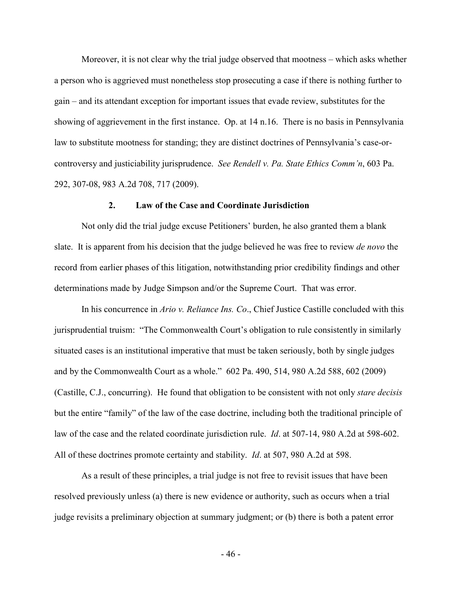Moreover, it is not clear why the trial judge observed that mootness – which asks whether a person who is aggrieved must nonetheless stop prosecuting a case if there is nothing further to gain – and its attendant exception for important issues that evade review, substitutes for the showing of aggrievement in the first instance. Op. at 14 n.16. There is no basis in Pennsylvania law to substitute mootness for standing; they are distinct doctrines of Pennsylvania's case-orcontroversy and justiciability jurisprudence. *See Rendell v. Pa. State Ethics Comm'n*, 603 Pa. 292, 307-08, 983 A.2d 708, 717 (2009).

### **2. Law of the Case and Coordinate Jurisdiction**

 Not only did the trial judge excuse Petitioners' burden, he also granted them a blank slate. It is apparent from his decision that the judge believed he was free to review *de novo* the record from earlier phases of this litigation, notwithstanding prior credibility findings and other determinations made by Judge Simpson and/or the Supreme Court. That was error.

 In his concurrence in *Ario v. Reliance Ins. Co*., Chief Justice Castille concluded with this jurisprudential truism: "The Commonwealth Court's obligation to rule consistently in similarly situated cases is an institutional imperative that must be taken seriously, both by single judges and by the Commonwealth Court as a whole." 602 Pa. 490, 514, 980 A.2d 588, 602 (2009) (Castille, C.J., concurring). He found that obligation to be consistent with not only *stare decisis*  but the entire "family" of the law of the case doctrine, including both the traditional principle of law of the case and the related coordinate jurisdiction rule. *Id*. at 507-14, 980 A.2d at 598-602. All of these doctrines promote certainty and stability. *Id*. at 507, 980 A.2d at 598.

 As a result of these principles, a trial judge is not free to revisit issues that have been resolved previously unless (a) there is new evidence or authority, such as occurs when a trial judge revisits a preliminary objection at summary judgment; or (b) there is both a patent error

- 46 -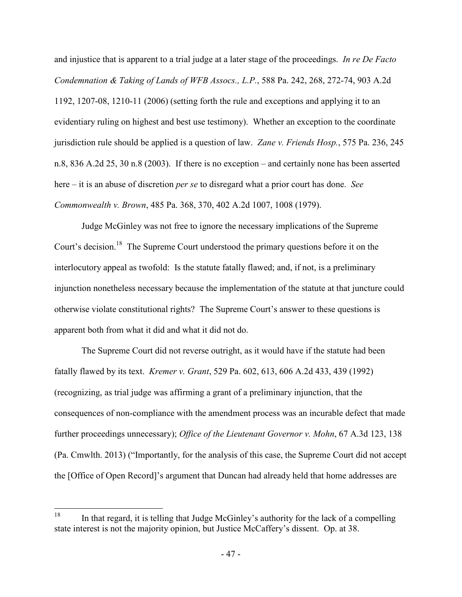and injustice that is apparent to a trial judge at a later stage of the proceedings. *In re De Facto Condemnation & Taking of Lands of WFB Assocs., L.P.*, 588 Pa. 242, 268, 272-74, 903 A.2d 1192, 1207-08, 1210-11 (2006) (setting forth the rule and exceptions and applying it to an evidentiary ruling on highest and best use testimony). Whether an exception to the coordinate jurisdiction rule should be applied is a question of law. *Zane v. Friends Hosp.*, 575 Pa. 236, 245 n.8, 836 A.2d 25, 30 n.8 (2003). If there is no exception – and certainly none has been asserted here – it is an abuse of discretion *per se* to disregard what a prior court has done. *See Commonwealth v. Brown*, 485 Pa. 368, 370, 402 A.2d 1007, 1008 (1979).

 Judge McGinley was not free to ignore the necessary implications of the Supreme Court's decision.<sup>18</sup> The Supreme Court understood the primary questions before it on the interlocutory appeal as twofold: Is the statute fatally flawed; and, if not, is a preliminary injunction nonetheless necessary because the implementation of the statute at that juncture could otherwise violate constitutional rights? The Supreme Court's answer to these questions is apparent both from what it did and what it did not do.

 The Supreme Court did not reverse outright, as it would have if the statute had been fatally flawed by its text. *Kremer v. Grant*, 529 Pa. 602, 613, 606 A.2d 433, 439 (1992) (recognizing, as trial judge was affirming a grant of a preliminary injunction, that the consequences of non-compliance with the amendment process was an incurable defect that made further proceedings unnecessary); *Office of the Lieutenant Governor v. Mohn*, 67 A.3d 123, 138 (Pa. Cmwlth. 2013) ("Importantly, for the analysis of this case, the Supreme Court did not accept the [Office of Open Record]'s argument that Duncan had already held that home addresses are

<sup>18</sup> In that regard, it is telling that Judge McGinley's authority for the lack of a compelling state interest is not the majority opinion, but Justice McCaffery's dissent. Op. at 38.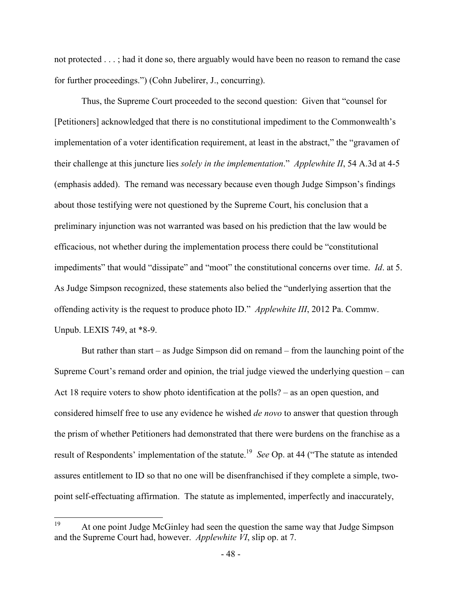not protected . . . ; had it done so, there arguably would have been no reason to remand the case for further proceedings.") (Cohn Jubelirer, J., concurring).

 Thus, the Supreme Court proceeded to the second question: Given that "counsel for [Petitioners] acknowledged that there is no constitutional impediment to the Commonwealth's implementation of a voter identification requirement, at least in the abstract," the "gravamen of their challenge at this juncture lies *solely in the implementation*." *Applewhite II*, 54 A.3d at 4-5 (emphasis added). The remand was necessary because even though Judge Simpson's findings about those testifying were not questioned by the Supreme Court, his conclusion that a preliminary injunction was not warranted was based on his prediction that the law would be efficacious, not whether during the implementation process there could be "constitutional impediments" that would "dissipate" and "moot" the constitutional concerns over time. *Id*. at 5. As Judge Simpson recognized, these statements also belied the "underlying assertion that the offending activity is the request to produce photo ID." *Applewhite III*, 2012 Pa. Commw. Unpub. LEXIS 749, at \*8-9.

 But rather than start – as Judge Simpson did on remand – from the launching point of the Supreme Court's remand order and opinion, the trial judge viewed the underlying question – can Act 18 require voters to show photo identification at the polls? – as an open question, and considered himself free to use any evidence he wished *de novo* to answer that question through the prism of whether Petitioners had demonstrated that there were burdens on the franchise as a result of Respondents' implementation of the statute.<sup>19</sup> See Op. at 44 ("The statute as intended assures entitlement to ID so that no one will be disenfranchised if they complete a simple, twopoint self-effectuating affirmation. The statute as implemented, imperfectly and inaccurately,

<sup>19</sup> At one point Judge McGinley had seen the question the same way that Judge Simpson and the Supreme Court had, however. *Applewhite VI*, slip op. at 7.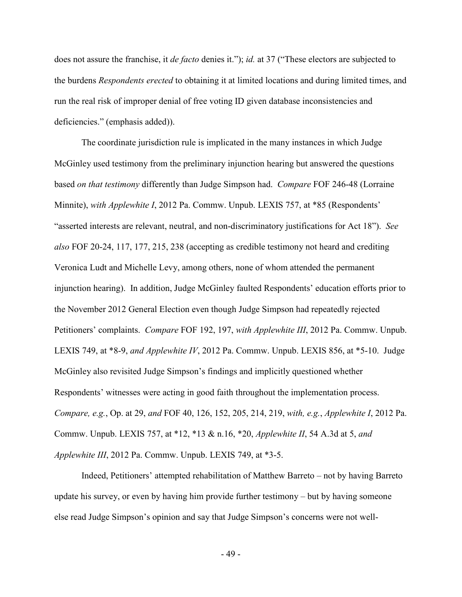does not assure the franchise, it *de facto* denies it."); *id.* at 37 ("These electors are subjected to the burdens *Respondents erected* to obtaining it at limited locations and during limited times, and run the real risk of improper denial of free voting ID given database inconsistencies and deficiencies." (emphasis added)).

 The coordinate jurisdiction rule is implicated in the many instances in which Judge McGinley used testimony from the preliminary injunction hearing but answered the questions based *on that testimony* differently than Judge Simpson had. *Compare* FOF 246-48 (Lorraine Minnite), *with Applewhite I*, 2012 Pa. Commw. Unpub. LEXIS 757, at \*85 (Respondents' "asserted interests are relevant, neutral, and non-discriminatory justifications for Act 18"). *See also* FOF 20-24, 117, 177, 215, 238 (accepting as credible testimony not heard and crediting Veronica Ludt and Michelle Levy, among others, none of whom attended the permanent injunction hearing). In addition, Judge McGinley faulted Respondents' education efforts prior to the November 2012 General Election even though Judge Simpson had repeatedly rejected Petitioners' complaints. *Compare* FOF 192, 197, *with Applewhite III*, 2012 Pa. Commw. Unpub. LEXIS 749, at \*8-9, *and Applewhite IV*, 2012 Pa. Commw. Unpub. LEXIS 856, at \*5-10. Judge McGinley also revisited Judge Simpson's findings and implicitly questioned whether Respondents' witnesses were acting in good faith throughout the implementation process. *Compare, e.g.*, Op. at 29, *and* FOF 40, 126, 152, 205, 214, 219, *with, e.g.*, *Applewhite I*, 2012 Pa. Commw. Unpub. LEXIS 757, at \*12, \*13 & n.16, \*20, *Applewhite II*, 54 A.3d at 5, *and Applewhite III*, 2012 Pa. Commw. Unpub. LEXIS 749, at \*3-5.

 Indeed, Petitioners' attempted rehabilitation of Matthew Barreto – not by having Barreto update his survey, or even by having him provide further testimony – but by having someone else read Judge Simpson's opinion and say that Judge Simpson's concerns were not well-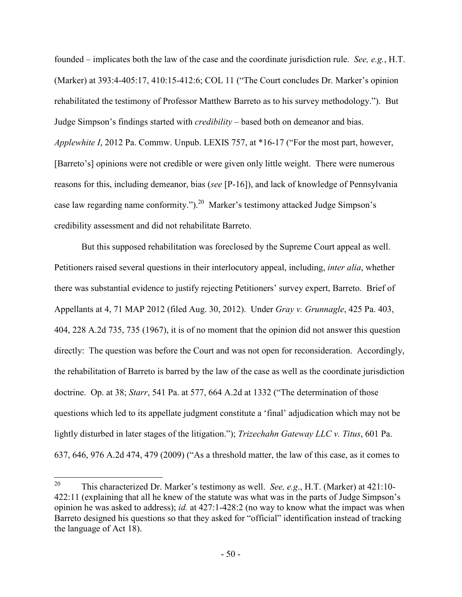founded – implicates both the law of the case and the coordinate jurisdiction rule. *See, e.g.*, H.T. (Marker) at 393:4-405:17, 410:15-412:6; COL 11 ("The Court concludes Dr. Marker's opinion rehabilitated the testimony of Professor Matthew Barreto as to his survey methodology."). But Judge Simpson's findings started with *credibility* – based both on demeanor and bias. *Applewhite I*, 2012 Pa. Commw. Unpub. LEXIS 757, at \*16-17 ("For the most part, however, [Barreto's] opinions were not credible or were given only little weight. There were numerous reasons for this, including demeanor, bias (*see* [P-16]), and lack of knowledge of Pennsylvania case law regarding name conformity.").<sup>20</sup> Marker's testimony attacked Judge Simpson's credibility assessment and did not rehabilitate Barreto.

 But this supposed rehabilitation was foreclosed by the Supreme Court appeal as well. Petitioners raised several questions in their interlocutory appeal, including, *inter alia*, whether there was substantial evidence to justify rejecting Petitioners' survey expert, Barreto. Brief of Appellants at 4, 71 MAP 2012 (filed Aug. 30, 2012). Under *Gray v. Grunnagle*, 425 Pa. 403, 404, 228 A.2d 735, 735 (1967), it is of no moment that the opinion did not answer this question directly: The question was before the Court and was not open for reconsideration. Accordingly, the rehabilitation of Barreto is barred by the law of the case as well as the coordinate jurisdiction doctrine. Op. at 38; *Starr*, 541 Pa. at 577, 664 A.2d at 1332 ("The determination of those questions which led to its appellate judgment constitute a 'final' adjudication which may not be lightly disturbed in later stages of the litigation."); *Trizechahn Gateway LLC v. Titus*, 601 Pa. 637, 646, 976 A.2d 474, 479 (2009) ("As a threshold matter, the law of this case, as it comes to

<sup>20</sup> <sup>20</sup> This characterized Dr. Marker's testimony as well. *See, e.g*., H.T. (Marker) at 421:10- 422:11 (explaining that all he knew of the statute was what was in the parts of Judge Simpson's opinion he was asked to address); *id.* at 427:1-428:2 (no way to know what the impact was when Barreto designed his questions so that they asked for "official" identification instead of tracking the language of Act 18).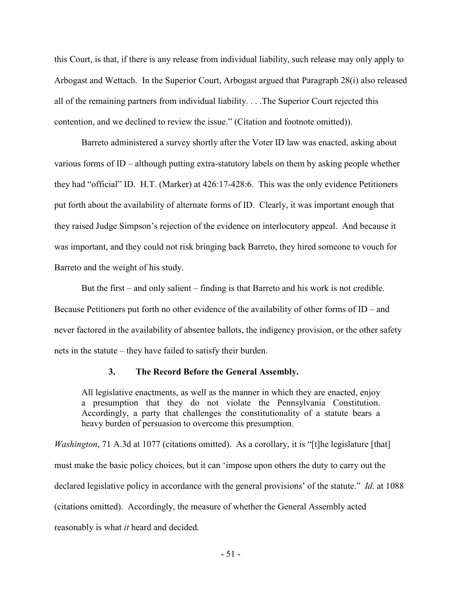this Court, is that, if there is any release from individual liability, such release may only apply to Arbogast and Wettach. In the Superior Court, Arbogast argued that Paragraph 28(i) also released all of the remaining partners from individual liability. . . .The Superior Court rejected this contention, and we declined to review the issue." (Citation and footnote omitted)).

 Barreto administered a survey shortly after the Voter ID law was enacted, asking about various forms of ID – although putting extra-statutory labels on them by asking people whether they had "official" ID. H.T. (Marker) at 426:17-428:6. This was the only evidence Petitioners put forth about the availability of alternate forms of ID. Clearly, it was important enough that they raised Judge Simpson's rejection of the evidence on interlocutory appeal. And because it was important, and they could not risk bringing back Barreto, they hired someone to vouch for Barreto and the weight of his study.

 But the first – and only salient – finding is that Barreto and his work is not credible. Because Petitioners put forth no other evidence of the availability of other forms of ID – and never factored in the availability of absentee ballots, the indigency provision, or the other safety nets in the statute – they have failed to satisfy their burden.

#### **3. The Record Before the General Assembly.**

All legislative enactments, as well as the manner in which they are enacted, enjoy a presumption that they do not violate the Pennsylvania Constitution. Accordingly, a party that challenges the constitutionality of a statute bears a heavy burden of persuasion to overcome this presumption.

*Washington*, 71 A.3d at 1077 (citations omitted). As a corollary, it is "[t]he legislature [that] must make the basic policy choices, but it can 'impose upon others the duty to carry out the declared legislative policy in accordance with the general provisions' of the statute." *Id.* at 1088 (citations omitted). Accordingly, the measure of whether the General Assembly acted reasonably is what *it* heard and decided.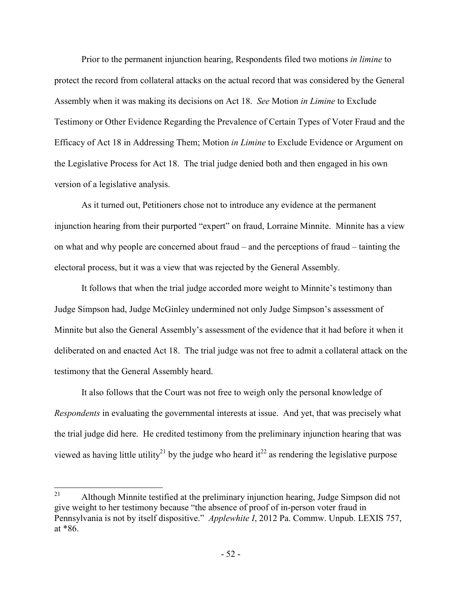Prior to the permanent injunction hearing, Respondents filed two motions *in limine* to protect the record from collateral attacks on the actual record that was considered by the General Assembly when it was making its decisions on Act 18. *See* Motion *in Limine* to Exclude Testimony or Other Evidence Regarding the Prevalence of Certain Types of Voter Fraud and the Efficacy of Act 18 in Addressing Them; Motion *in Limine* to Exclude Evidence or Argument on the Legislative Process for Act 18. The trial judge denied both and then engaged in his own version of a legislative analysis.

 As it turned out, Petitioners chose not to introduce any evidence at the permanent injunction hearing from their purported "expert" on fraud, Lorraine Minnite. Minnite has a view on what and why people are concerned about fraud – and the perceptions of fraud – tainting the electoral process, but it was a view that was rejected by the General Assembly.

 It follows that when the trial judge accorded more weight to Minnite's testimony than Judge Simpson had, Judge McGinley undermined not only Judge Simpson's assessment of Minnite but also the General Assembly's assessment of the evidence that it had before it when it deliberated on and enacted Act 18. The trial judge was not free to admit a collateral attack on the testimony that the General Assembly heard.

 It also follows that the Court was not free to weigh only the personal knowledge of *Respondents* in evaluating the governmental interests at issue. And yet, that was precisely what the trial judge did here. He credited testimony from the preliminary injunction hearing that was viewed as having little utility<sup>21</sup> by the judge who heard it<sup>22</sup> as rendering the legislative purpose

<sup>21</sup> <sup>21</sup> Although Minnite testified at the preliminary injunction hearing, Judge Simpson did not give weight to her testimony because "the absence of proof of in-person voter fraud in Pennsylvania is not by itself dispositive." *Applewhite I*, 2012 Pa. Commw. Unpub. LEXIS 757, at \*86.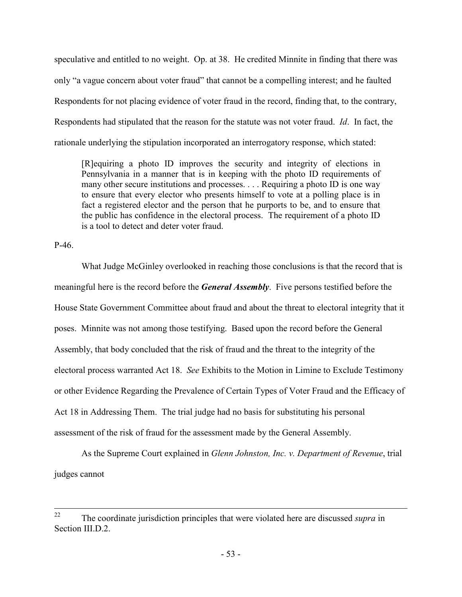speculative and entitled to no weight. Op. at 38. He credited Minnite in finding that there was only "a vague concern about voter fraud" that cannot be a compelling interest; and he faulted Respondents for not placing evidence of voter fraud in the record, finding that, to the contrary, Respondents had stipulated that the reason for the statute was not voter fraud. *Id*. In fact, the rationale underlying the stipulation incorporated an interrogatory response, which stated:

[R]equiring a photo ID improves the security and integrity of elections in Pennsylvania in a manner that is in keeping with the photo ID requirements of many other secure institutions and processes. . . . Requiring a photo ID is one way to ensure that every elector who presents himself to vote at a polling place is in fact a registered elector and the person that he purports to be, and to ensure that the public has confidence in the electoral process. The requirement of a photo ID is a tool to detect and deter voter fraud.

P-46.

 What Judge McGinley overlooked in reaching those conclusions is that the record that is meaningful here is the record before the *General Assembly*. Five persons testified before the House State Government Committee about fraud and about the threat to electoral integrity that it poses. Minnite was not among those testifying. Based upon the record before the General Assembly, that body concluded that the risk of fraud and the threat to the integrity of the electoral process warranted Act 18. *See* Exhibits to the Motion in Limine to Exclude Testimony or other Evidence Regarding the Prevalence of Certain Types of Voter Fraud and the Efficacy of Act 18 in Addressing Them. The trial judge had no basis for substituting his personal assessment of the risk of fraud for the assessment made by the General Assembly.

 As the Supreme Court explained in *Glenn Johnston, Inc. v. Department of Revenue*, trial judges cannot

 $22$ <sup>22</sup> The coordinate jurisdiction principles that were violated here are discussed *supra* in Section III.D.2.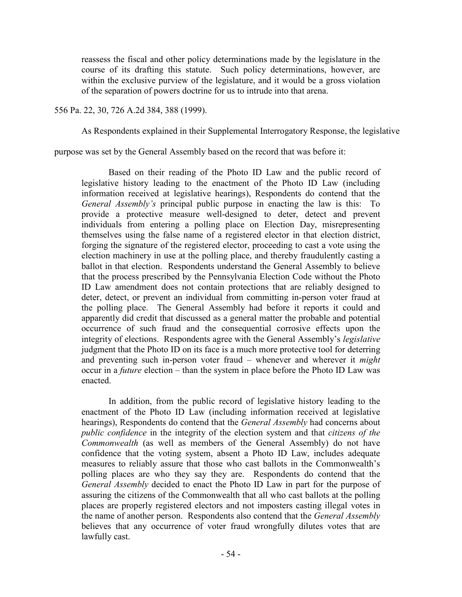reassess the fiscal and other policy determinations made by the legislature in the course of its drafting this statute. Such policy determinations, however, are within the exclusive purview of the legislature, and it would be a gross violation of the separation of powers doctrine for us to intrude into that arena.

556 Pa. 22, 30, 726 A.2d 384, 388 (1999).

As Respondents explained in their Supplemental Interrogatory Response, the legislative

purpose was set by the General Assembly based on the record that was before it:

 Based on their reading of the Photo ID Law and the public record of legislative history leading to the enactment of the Photo ID Law (including information received at legislative hearings), Respondents do contend that the *General Assembly's* principal public purpose in enacting the law is this: To provide a protective measure well-designed to deter, detect and prevent individuals from entering a polling place on Election Day, misrepresenting themselves using the false name of a registered elector in that election district, forging the signature of the registered elector, proceeding to cast a vote using the election machinery in use at the polling place, and thereby fraudulently casting a ballot in that election. Respondents understand the General Assembly to believe that the process prescribed by the Pennsylvania Election Code without the Photo ID Law amendment does not contain protections that are reliably designed to deter, detect, or prevent an individual from committing in-person voter fraud at the polling place. The General Assembly had before it reports it could and apparently did credit that discussed as a general matter the probable and potential occurrence of such fraud and the consequential corrosive effects upon the integrity of elections. Respondents agree with the General Assembly's *legislative* judgment that the Photo ID on its face is a much more protective tool for deterring and preventing such in-person voter fraud – whenever and wherever it *might* occur in a *future* election – than the system in place before the Photo ID Law was enacted.

 In addition, from the public record of legislative history leading to the enactment of the Photo ID Law (including information received at legislative hearings), Respondents do contend that the *General Assembly* had concerns about *public confidence* in the integrity of the election system and that *citizens of the Commonwealth* (as well as members of the General Assembly) do not have confidence that the voting system, absent a Photo ID Law, includes adequate measures to reliably assure that those who cast ballots in the Commonwealth's polling places are who they say they are. Respondents do contend that the *General Assembly* decided to enact the Photo ID Law in part for the purpose of assuring the citizens of the Commonwealth that all who cast ballots at the polling places are properly registered electors and not imposters casting illegal votes in the name of another person. Respondents also contend that the *General Assembly* believes that any occurrence of voter fraud wrongfully dilutes votes that are lawfully cast.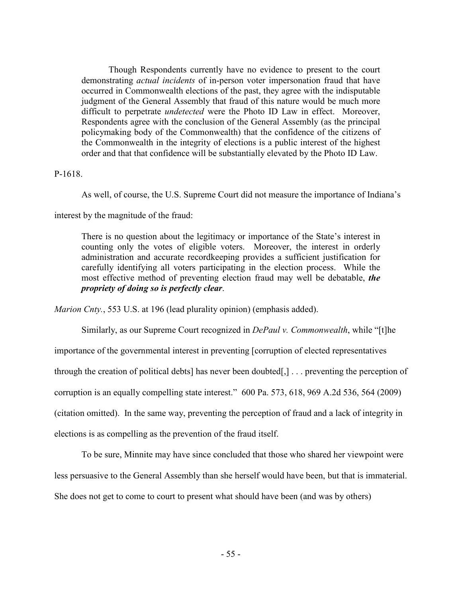Though Respondents currently have no evidence to present to the court demonstrating *actual incidents* of in-person voter impersonation fraud that have occurred in Commonwealth elections of the past, they agree with the indisputable judgment of the General Assembly that fraud of this nature would be much more difficult to perpetrate *undetected* were the Photo ID Law in effect. Moreover, Respondents agree with the conclusion of the General Assembly (as the principal policymaking body of the Commonwealth) that the confidence of the citizens of the Commonwealth in the integrity of elections is a public interest of the highest order and that that confidence will be substantially elevated by the Photo ID Law.

## P-1618.

As well, of course, the U.S. Supreme Court did not measure the importance of Indiana's

### interest by the magnitude of the fraud:

There is no question about the legitimacy or importance of the State's interest in counting only the votes of eligible voters. Moreover, the interest in orderly administration and accurate recordkeeping provides a sufficient justification for carefully identifying all voters participating in the election process. While the most effective method of preventing election fraud may well be debatable, *the propriety of doing so is perfectly clear*.

*Marion Cnty.*, 553 U.S. at 196 (lead plurality opinion) (emphasis added).

Similarly, as our Supreme Court recognized in *DePaul v. Commonwealth*, while "[t]he

importance of the governmental interest in preventing [corruption of elected representatives

through the creation of political debts] has never been doubted[,] . . . preventing the perception of

corruption is an equally compelling state interest." 600 Pa. 573, 618, 969 A.2d 536, 564 (2009)

(citation omitted). In the same way, preventing the perception of fraud and a lack of integrity in

elections is as compelling as the prevention of the fraud itself.

 To be sure, Minnite may have since concluded that those who shared her viewpoint were less persuasive to the General Assembly than she herself would have been, but that is immaterial. She does not get to come to court to present what should have been (and was by others)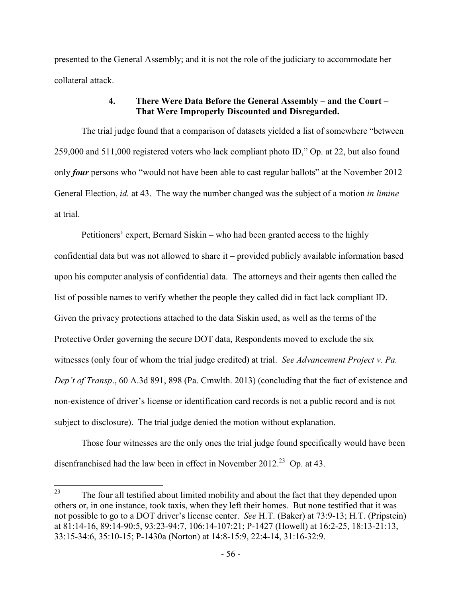presented to the General Assembly; and it is not the role of the judiciary to accommodate her collateral attack.

## **4. There Were Data Before the General Assembly – and the Court – That Were Improperly Discounted and Disregarded.**

 The trial judge found that a comparison of datasets yielded a list of somewhere "between 259,000 and 511,000 registered voters who lack compliant photo ID," Op. at 22, but also found only *four* persons who "would not have been able to cast regular ballots" at the November 2012 General Election, *id.* at 43. The way the number changed was the subject of a motion *in limine* at trial.

 Petitioners' expert, Bernard Siskin – who had been granted access to the highly confidential data but was not allowed to share it – provided publicly available information based upon his computer analysis of confidential data. The attorneys and their agents then called the list of possible names to verify whether the people they called did in fact lack compliant ID. Given the privacy protections attached to the data Siskin used, as well as the terms of the Protective Order governing the secure DOT data, Respondents moved to exclude the six witnesses (only four of whom the trial judge credited) at trial. *See Advancement Project v. Pa. Dep't of Transp*., 60 A.3d 891, 898 (Pa. Cmwlth. 2013) (concluding that the fact of existence and non-existence of driver's license or identification card records is not a public record and is not subject to disclosure). The trial judge denied the motion without explanation.

 Those four witnesses are the only ones the trial judge found specifically would have been disenfranchised had the law been in effect in November 2012.<sup>23</sup> Op. at 43.

<sup>23</sup> The four all testified about limited mobility and about the fact that they depended upon others or, in one instance, took taxis, when they left their homes. But none testified that it was not possible to go to a DOT driver's license center. *See* H.T. (Baker) at 73:9-13; H.T. (Pripstein) at 81:14-16, 89:14-90:5, 93:23-94:7, 106:14-107:21; P-1427 (Howell) at 16:2-25, 18:13-21:13, 33:15-34:6, 35:10-15; P-1430a (Norton) at 14:8-15:9, 22:4-14, 31:16-32:9.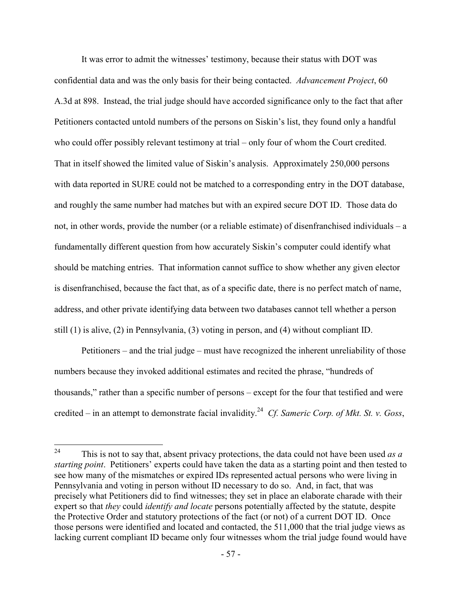It was error to admit the witnesses' testimony, because their status with DOT was confidential data and was the only basis for their being contacted. *Advancement Project*, 60 A.3d at 898. Instead, the trial judge should have accorded significance only to the fact that after Petitioners contacted untold numbers of the persons on Siskin's list, they found only a handful who could offer possibly relevant testimony at trial – only four of whom the Court credited. That in itself showed the limited value of Siskin's analysis. Approximately 250,000 persons with data reported in SURE could not be matched to a corresponding entry in the DOT database, and roughly the same number had matches but with an expired secure DOT ID. Those data do not, in other words, provide the number (or a reliable estimate) of disenfranchised individuals – a fundamentally different question from how accurately Siskin's computer could identify what should be matching entries. That information cannot suffice to show whether any given elector is disenfranchised, because the fact that, as of a specific date, there is no perfect match of name, address, and other private identifying data between two databases cannot tell whether a person still (1) is alive, (2) in Pennsylvania, (3) voting in person, and (4) without compliant ID.

 Petitioners – and the trial judge – must have recognized the inherent unreliability of those numbers because they invoked additional estimates and recited the phrase, "hundreds of thousands," rather than a specific number of persons – except for the four that testified and were credited – in an attempt to demonstrate facial invalidity.<sup>24</sup> Cf. Sameric Corp. of Mkt. St. v. Goss,

 $24$ <sup>24</sup> This is not to say that, absent privacy protections, the data could not have been used *as a starting point*. Petitioners' experts could have taken the data as a starting point and then tested to see how many of the mismatches or expired IDs represented actual persons who were living in Pennsylvania and voting in person without ID necessary to do so. And, in fact, that was precisely what Petitioners did to find witnesses; they set in place an elaborate charade with their expert so that *they* could *identify and locate* persons potentially affected by the statute, despite the Protective Order and statutory protections of the fact (or not) of a current DOT ID. Once those persons were identified and located and contacted, the 511,000 that the trial judge views as lacking current compliant ID became only four witnesses whom the trial judge found would have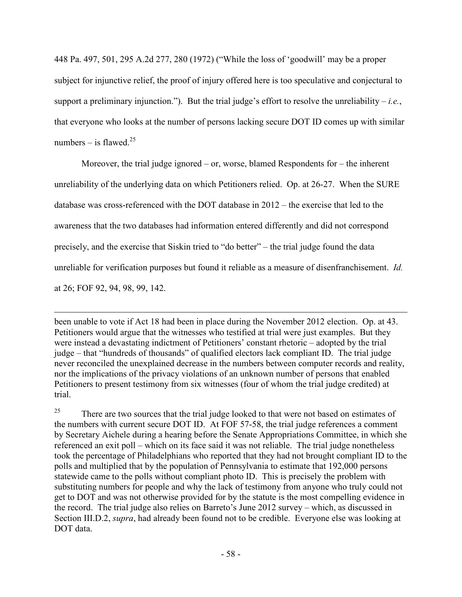448 Pa. 497, 501, 295 A.2d 277, 280 (1972) ("While the loss of 'goodwill' may be a proper subject for injunctive relief, the proof of injury offered here is too speculative and conjectural to support a preliminary injunction."). But the trial judge's effort to resolve the unreliability  $-i.e.,$ that everyone who looks at the number of persons lacking secure DOT ID comes up with similar numbers – is flawed.<sup>25</sup>

 Moreover, the trial judge ignored – or, worse, blamed Respondents for – the inherent unreliability of the underlying data on which Petitioners relied. Op. at 26-27. When the SURE database was cross-referenced with the DOT database in 2012 – the exercise that led to the awareness that the two databases had information entered differently and did not correspond precisely, and the exercise that Siskin tried to "do better" – the trial judge found the data unreliable for verification purposes but found it reliable as a measure of disenfranchisement. *Id.* at 26; FOF 92, 94, 98, 99, 142.

been unable to vote if Act 18 had been in place during the November 2012 election. Op. at 43. Petitioners would argue that the witnesses who testified at trial were just examples. But they were instead a devastating indictment of Petitioners' constant rhetoric – adopted by the trial judge – that "hundreds of thousands" of qualified electors lack compliant ID. The trial judge never reconciled the unexplained decrease in the numbers between computer records and reality, nor the implications of the privacy violations of an unknown number of persons that enabled Petitioners to present testimony from six witnesses (four of whom the trial judge credited) at trial.

 $\overline{a}$ 

<sup>25</sup> There are two sources that the trial judge looked to that were not based on estimates of the numbers with current secure DOT ID. At FOF 57-58, the trial judge references a comment by Secretary Aichele during a hearing before the Senate Appropriations Committee, in which she referenced an exit poll – which on its face said it was not reliable. The trial judge nonetheless took the percentage of Philadelphians who reported that they had not brought compliant ID to the polls and multiplied that by the population of Pennsylvania to estimate that 192,000 persons statewide came to the polls without compliant photo ID. This is precisely the problem with substituting numbers for people and why the lack of testimony from anyone who truly could not get to DOT and was not otherwise provided for by the statute is the most compelling evidence in the record. The trial judge also relies on Barreto's June 2012 survey – which, as discussed in Section III.D.2, *supra*, had already been found not to be credible. Everyone else was looking at DOT data.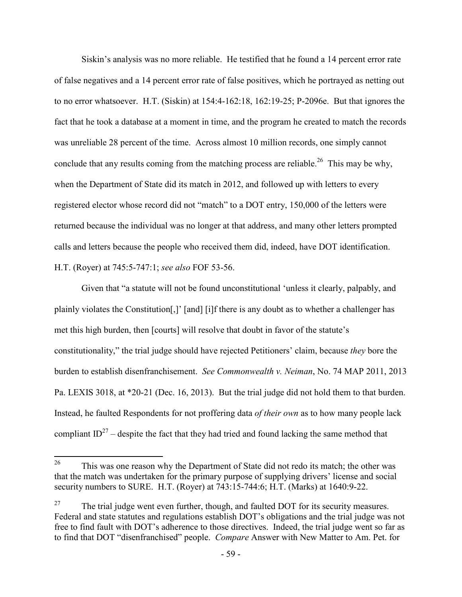Siskin's analysis was no more reliable. He testified that he found a 14 percent error rate of false negatives and a 14 percent error rate of false positives, which he portrayed as netting out to no error whatsoever. H.T. (Siskin) at 154:4-162:18, 162:19-25; P-2096e. But that ignores the fact that he took a database at a moment in time, and the program he created to match the records was unreliable 28 percent of the time. Across almost 10 million records, one simply cannot conclude that any results coming from the matching process are reliable.<sup>26</sup> This may be why, when the Department of State did its match in 2012, and followed up with letters to every registered elector whose record did not "match" to a DOT entry, 150,000 of the letters were returned because the individual was no longer at that address, and many other letters prompted calls and letters because the people who received them did, indeed, have DOT identification. H.T. (Royer) at 745:5-747:1; *see also* FOF 53-56.

 Given that "a statute will not be found unconstitutional 'unless it clearly, palpably, and plainly violates the Constitution[,]' [and] [i]f there is any doubt as to whether a challenger has met this high burden, then [courts] will resolve that doubt in favor of the statute's constitutionality," the trial judge should have rejected Petitioners' claim, because *they* bore the burden to establish disenfranchisement. *See Commonwealth v. Neiman*, No. 74 MAP 2011, 2013 Pa. LEXIS 3018, at \*20-21 (Dec. 16, 2013). But the trial judge did not hold them to that burden. Instead, he faulted Respondents for not proffering data *of their own* as to how many people lack compliant  $ID^{27}$  – despite the fact that they had tried and found lacking the same method that

<sup>26</sup> This was one reason why the Department of State did not redo its match; the other was that the match was undertaken for the primary purpose of supplying drivers' license and social security numbers to SURE. H.T. (Royer) at 743:15-744:6; H.T. (Marks) at 1640:9-22.

<sup>&</sup>lt;sup>27</sup> The trial judge went even further, though, and faulted DOT for its security measures. Federal and state statutes and regulations establish DOT's obligations and the trial judge was not free to find fault with DOT's adherence to those directives. Indeed, the trial judge went so far as to find that DOT "disenfranchised" people. *Compare* Answer with New Matter to Am. Pet. for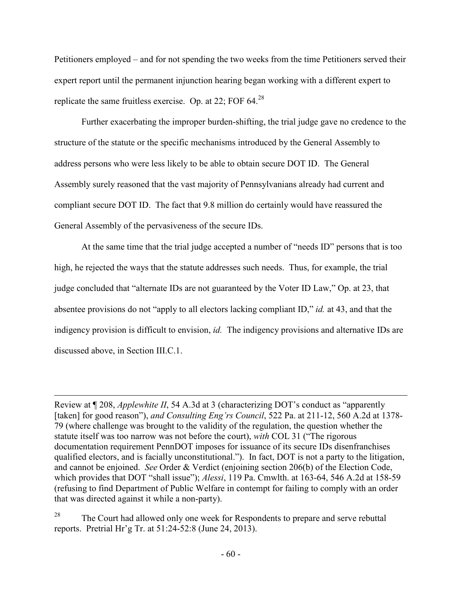Petitioners employed – and for not spending the two weeks from the time Petitioners served their expert report until the permanent injunction hearing began working with a different expert to replicate the same fruitless exercise. Op. at 22; FOF  $64.28$ 

 Further exacerbating the improper burden-shifting, the trial judge gave no credence to the structure of the statute or the specific mechanisms introduced by the General Assembly to address persons who were less likely to be able to obtain secure DOT ID. The General Assembly surely reasoned that the vast majority of Pennsylvanians already had current and compliant secure DOT ID. The fact that 9.8 million do certainly would have reassured the General Assembly of the pervasiveness of the secure IDs.

 At the same time that the trial judge accepted a number of "needs ID" persons that is too high, he rejected the ways that the statute addresses such needs. Thus, for example, the trial judge concluded that "alternate IDs are not guaranteed by the Voter ID Law," Op. at 23, that absentee provisions do not "apply to all electors lacking compliant ID," *id.* at 43, and that the indigency provision is difficult to envision, *id.* The indigency provisions and alternative IDs are discussed above, in Section III.C.1.

-

<sup>28</sup> The Court had allowed only one week for Respondents to prepare and serve rebuttal reports. Pretrial Hr'g Tr. at 51:24-52:8 (June 24, 2013).

Review at ¶ 208, *Applewhite II*, 54 A.3d at 3 (characterizing DOT's conduct as "apparently [taken] for good reason"), *and Consulting Eng'rs Council*, 522 Pa. at 211-12, 560 A.2d at 1378- 79 (where challenge was brought to the validity of the regulation, the question whether the statute itself was too narrow was not before the court), *with* COL 31 ("The rigorous documentation requirement PennDOT imposes for issuance of its secure IDs disenfranchises qualified electors, and is facially unconstitutional."). In fact, DOT is not a party to the litigation, and cannot be enjoined. *See* Order & Verdict (enjoining section 206(b) of the Election Code, which provides that DOT "shall issue"); *Alessi*, 119 Pa. Cmwlth. at 163-64, 546 A.2d at 158-59 (refusing to find Department of Public Welfare in contempt for failing to comply with an order that was directed against it while a non-party).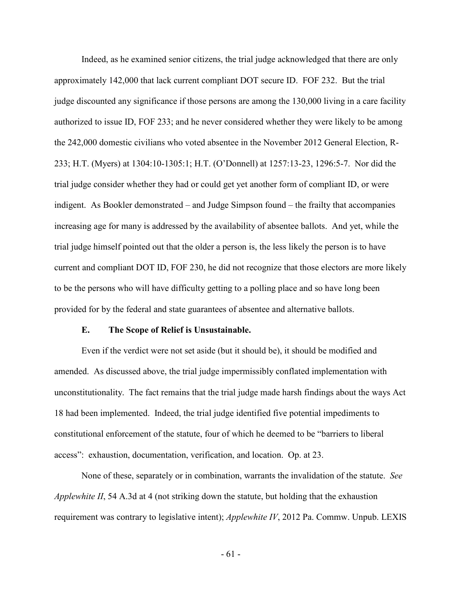Indeed, as he examined senior citizens, the trial judge acknowledged that there are only approximately 142,000 that lack current compliant DOT secure ID. FOF 232. But the trial judge discounted any significance if those persons are among the 130,000 living in a care facility authorized to issue ID, FOF 233; and he never considered whether they were likely to be among the 242,000 domestic civilians who voted absentee in the November 2012 General Election, R-233; H.T. (Myers) at 1304:10-1305:1; H.T. (O'Donnell) at 1257:13-23, 1296:5-7. Nor did the trial judge consider whether they had or could get yet another form of compliant ID, or were indigent. As Bookler demonstrated – and Judge Simpson found – the frailty that accompanies increasing age for many is addressed by the availability of absentee ballots. And yet, while the trial judge himself pointed out that the older a person is, the less likely the person is to have current and compliant DOT ID, FOF 230, he did not recognize that those electors are more likely to be the persons who will have difficulty getting to a polling place and so have long been provided for by the federal and state guarantees of absentee and alternative ballots.

### **E. The Scope of Relief is Unsustainable.**

Even if the verdict were not set aside (but it should be), it should be modified and amended. As discussed above, the trial judge impermissibly conflated implementation with unconstitutionality. The fact remains that the trial judge made harsh findings about the ways Act 18 had been implemented. Indeed, the trial judge identified five potential impediments to constitutional enforcement of the statute, four of which he deemed to be "barriers to liberal access": exhaustion, documentation, verification, and location. Op. at 23.

None of these, separately or in combination, warrants the invalidation of the statute. *See Applewhite II*, 54 A.3d at 4 (not striking down the statute, but holding that the exhaustion requirement was contrary to legislative intent); *Applewhite IV*, 2012 Pa. Commw. Unpub. LEXIS

- 61 -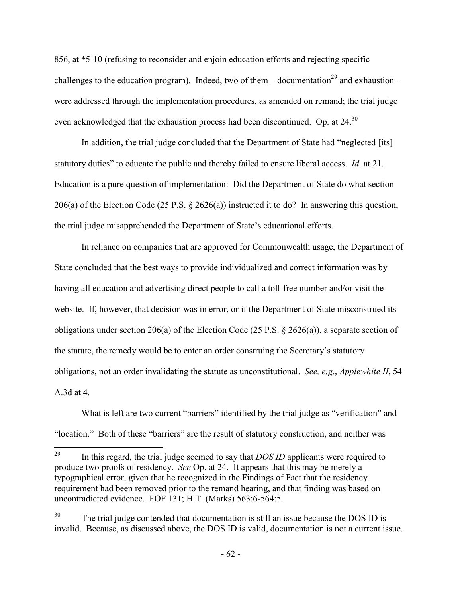856, at \*5-10 (refusing to reconsider and enjoin education efforts and rejecting specific challenges to the education program). Indeed, two of them – documentation<sup>29</sup> and exhaustion – were addressed through the implementation procedures, as amended on remand; the trial judge even acknowledged that the exhaustion process had been discontinued. Op. at 24.<sup>30</sup>

In addition, the trial judge concluded that the Department of State had "neglected [its] statutory duties" to educate the public and thereby failed to ensure liberal access. *Id.* at 21. Education is a pure question of implementation: Did the Department of State do what section 206(a) of the Election Code (25 P.S. § 2626(a)) instructed it to do? In answering this question, the trial judge misapprehended the Department of State's educational efforts.

In reliance on companies that are approved for Commonwealth usage, the Department of State concluded that the best ways to provide individualized and correct information was by having all education and advertising direct people to call a toll-free number and/or visit the website. If, however, that decision was in error, or if the Department of State misconstrued its obligations under section 206(a) of the Election Code (25 P.S.  $\S$  2626(a)), a separate section of the statute, the remedy would be to enter an order construing the Secretary's statutory obligations, not an order invalidating the statute as unconstitutional. *See, e.g.*, *Applewhite II*, 54 A.3d at 4.

What is left are two current "barriers" identified by the trial judge as "verification" and "location." Both of these "barriers" are the result of statutory construction, and neither was

<sup>29</sup> <sup>29</sup> In this regard, the trial judge seemed to say that *DOS ID* applicants were required to produce two proofs of residency. *See* Op. at 24. It appears that this may be merely a typographical error, given that he recognized in the Findings of Fact that the residency requirement had been removed prior to the remand hearing, and that finding was based on uncontradicted evidence. FOF 131; H.T. (Marks) 563:6-564:5.

 $30$  The trial judge contended that documentation is still an issue because the DOS ID is invalid. Because, as discussed above, the DOS ID is valid, documentation is not a current issue.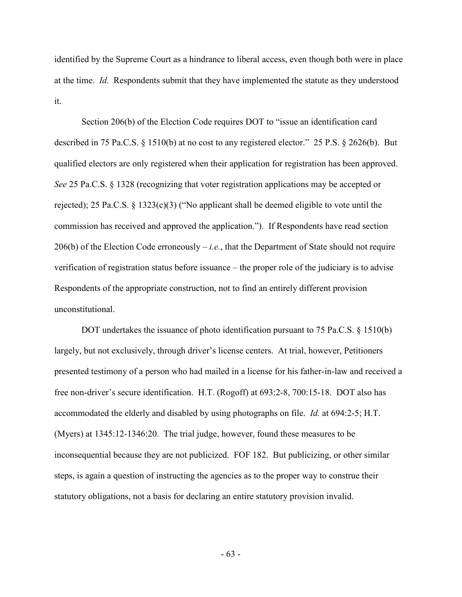identified by the Supreme Court as a hindrance to liberal access, even though both were in place at the time. *Id.* Respondents submit that they have implemented the statute as they understood it.

Section 206(b) of the Election Code requires DOT to "issue an identification card described in 75 Pa.C.S. § 1510(b) at no cost to any registered elector." 25 P.S. § 2626(b). But qualified electors are only registered when their application for registration has been approved. *See* 25 Pa.C.S. § 1328 (recognizing that voter registration applications may be accepted or rejected); 25 Pa.C.S. § 1323(c)(3) ("No applicant shall be deemed eligible to vote until the commission has received and approved the application."). If Respondents have read section  $206(b)$  of the Election Code erroneously – *i.e.*, that the Department of State should not require verification of registration status before issuance – the proper role of the judiciary is to advise Respondents of the appropriate construction, not to find an entirely different provision unconstitutional.

DOT undertakes the issuance of photo identification pursuant to 75 Pa.C.S. § 1510(b) largely, but not exclusively, through driver's license centers. At trial, however, Petitioners presented testimony of a person who had mailed in a license for his father-in-law and received a free non-driver's secure identification. H.T. (Rogoff) at 693:2-8, 700:15-18. DOT also has accommodated the elderly and disabled by using photographs on file. *Id.* at 694:2-5; H.T. (Myers) at 1345:12-1346:20. The trial judge, however, found these measures to be inconsequential because they are not publicized. FOF 182. But publicizing, or other similar steps, is again a question of instructing the agencies as to the proper way to construe their statutory obligations, not a basis for declaring an entire statutory provision invalid.

- 63 -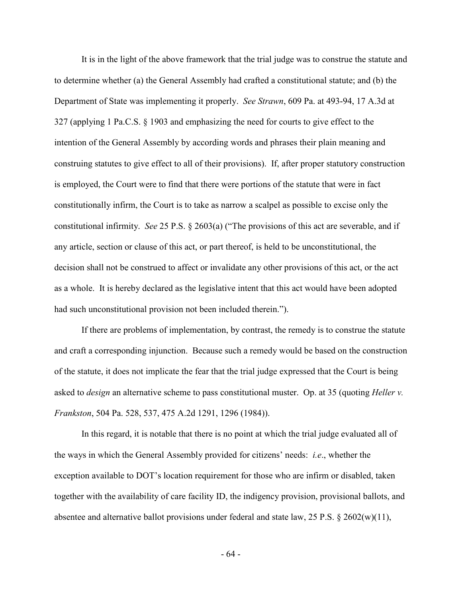It is in the light of the above framework that the trial judge was to construe the statute and to determine whether (a) the General Assembly had crafted a constitutional statute; and (b) the Department of State was implementing it properly. *See Strawn*, 609 Pa. at 493-94, 17 A.3d at 327 (applying 1 Pa.C.S. § 1903 and emphasizing the need for courts to give effect to the intention of the General Assembly by according words and phrases their plain meaning and construing statutes to give effect to all of their provisions). If, after proper statutory construction is employed, the Court were to find that there were portions of the statute that were in fact constitutionally infirm, the Court is to take as narrow a scalpel as possible to excise only the constitutional infirmity. *See* 25 P.S. § 2603(a) ("The provisions of this act are severable, and if any article, section or clause of this act, or part thereof, is held to be unconstitutional, the decision shall not be construed to affect or invalidate any other provisions of this act, or the act as a whole. It is hereby declared as the legislative intent that this act would have been adopted had such unconstitutional provision not been included therein.").

If there are problems of implementation, by contrast, the remedy is to construe the statute and craft a corresponding injunction. Because such a remedy would be based on the construction of the statute, it does not implicate the fear that the trial judge expressed that the Court is being asked to *design* an alternative scheme to pass constitutional muster. Op. at 35 (quoting *Heller v. Frankston*, 504 Pa. 528, 537, 475 A.2d 1291, 1296 (1984)).

In this regard, it is notable that there is no point at which the trial judge evaluated all of the ways in which the General Assembly provided for citizens' needs: *i.e*., whether the exception available to DOT's location requirement for those who are infirm or disabled, taken together with the availability of care facility ID, the indigency provision, provisional ballots, and absentee and alternative ballot provisions under federal and state law, 25 P.S. § 2602(w)(11),

- 64 -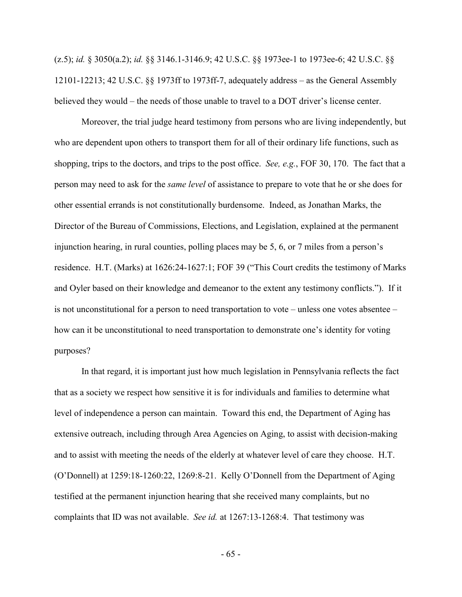(z.5); *id.* § 3050(a.2); *id.* §§ 3146.1-3146.9; 42 U.S.C. §§ 1973ee-1 to 1973ee-6; 42 U.S.C. §§ 12101-12213; 42 U.S.C. §§ 1973ff to 1973ff-7, adequately address – as the General Assembly believed they would – the needs of those unable to travel to a DOT driver's license center.

Moreover, the trial judge heard testimony from persons who are living independently, but who are dependent upon others to transport them for all of their ordinary life functions, such as shopping, trips to the doctors, and trips to the post office. *See, e.g.*, FOF 30, 170. The fact that a person may need to ask for the *same level* of assistance to prepare to vote that he or she does for other essential errands is not constitutionally burdensome. Indeed, as Jonathan Marks, the Director of the Bureau of Commissions, Elections, and Legislation, explained at the permanent injunction hearing, in rural counties, polling places may be 5, 6, or 7 miles from a person's residence. H.T. (Marks) at 1626:24-1627:1; FOF 39 ("This Court credits the testimony of Marks and Oyler based on their knowledge and demeanor to the extent any testimony conflicts."). If it is not unconstitutional for a person to need transportation to vote – unless one votes absentee – how can it be unconstitutional to need transportation to demonstrate one's identity for voting purposes?

In that regard, it is important just how much legislation in Pennsylvania reflects the fact that as a society we respect how sensitive it is for individuals and families to determine what level of independence a person can maintain. Toward this end, the Department of Aging has extensive outreach, including through Area Agencies on Aging, to assist with decision-making and to assist with meeting the needs of the elderly at whatever level of care they choose. H.T. (O'Donnell) at 1259:18-1260:22, 1269:8-21. Kelly O'Donnell from the Department of Aging testified at the permanent injunction hearing that she received many complaints, but no complaints that ID was not available. *See id.* at 1267:13-1268:4. That testimony was

- 65 -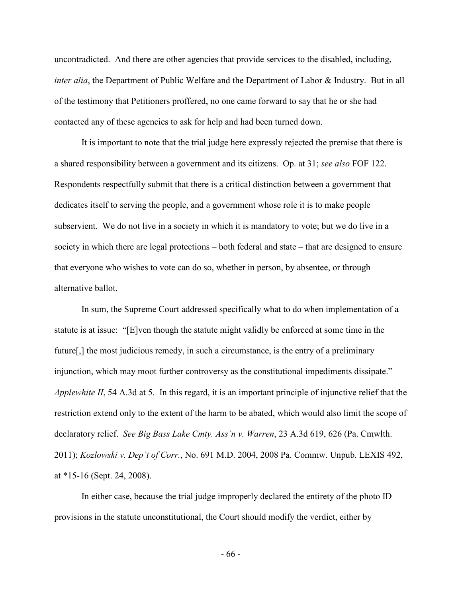uncontradicted. And there are other agencies that provide services to the disabled, including, *inter alia*, the Department of Public Welfare and the Department of Labor & Industry. But in all of the testimony that Petitioners proffered, no one came forward to say that he or she had contacted any of these agencies to ask for help and had been turned down.

It is important to note that the trial judge here expressly rejected the premise that there is a shared responsibility between a government and its citizens. Op. at 31; *see also* FOF 122. Respondents respectfully submit that there is a critical distinction between a government that dedicates itself to serving the people, and a government whose role it is to make people subservient. We do not live in a society in which it is mandatory to vote; but we do live in a society in which there are legal protections – both federal and state – that are designed to ensure that everyone who wishes to vote can do so, whether in person, by absentee, or through alternative ballot.

In sum, the Supreme Court addressed specifically what to do when implementation of a statute is at issue: "[E]ven though the statute might validly be enforced at some time in the future[,] the most judicious remedy, in such a circumstance, is the entry of a preliminary injunction, which may moot further controversy as the constitutional impediments dissipate." *Applewhite II*, 54 A.3d at 5. In this regard, it is an important principle of injunctive relief that the restriction extend only to the extent of the harm to be abated, which would also limit the scope of declaratory relief. *See Big Bass Lake Cmty. Ass'n v. Warren*, 23 A.3d 619, 626 (Pa. Cmwlth. 2011); *Kozlowski v. Dep't of Corr.*, No. 691 M.D. 2004, 2008 Pa. Commw. Unpub. LEXIS 492, at \*15-16 (Sept. 24, 2008).

In either case, because the trial judge improperly declared the entirety of the photo ID provisions in the statute unconstitutional, the Court should modify the verdict, either by

- 66 -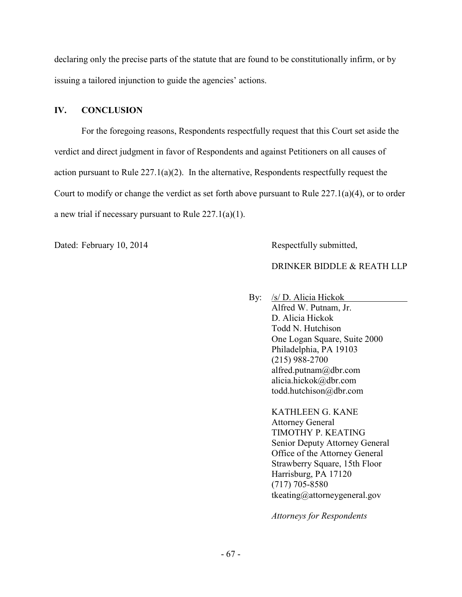declaring only the precise parts of the statute that are found to be constitutionally infirm, or by issuing a tailored injunction to guide the agencies' actions.

## **IV. CONCLUSION**

For the foregoing reasons, Respondents respectfully request that this Court set aside the verdict and direct judgment in favor of Respondents and against Petitioners on all causes of action pursuant to Rule  $227.1(a)(2)$ . In the alternative, Respondents respectfully request the Court to modify or change the verdict as set forth above pursuant to Rule 227.1(a)(4), or to order a new trial if necessary pursuant to Rule  $227.1(a)(1)$ .

Dated: February 10, 2014 Respectfully submitted,

## DRINKER BIDDLE & REATH LLP

 By:/s/ D. Alicia Hickok Alfred W. Putnam, Jr. D. Alicia Hickok Todd N. Hutchison One Logan Square, Suite 2000 Philadelphia, PA 19103 (215) 988-2700 alfred.putnam@dbr.com alicia.hickok@dbr.com todd.hutchison@dbr.com

> KATHLEEN G. KANE Attorney General TIMOTHY P. KEATING Senior Deputy Attorney General Office of the Attorney General Strawberry Square, 15th Floor Harrisburg, PA 17120 (717) 705-8580 tkeating@attorneygeneral.gov

*Attorneys for Respondents*